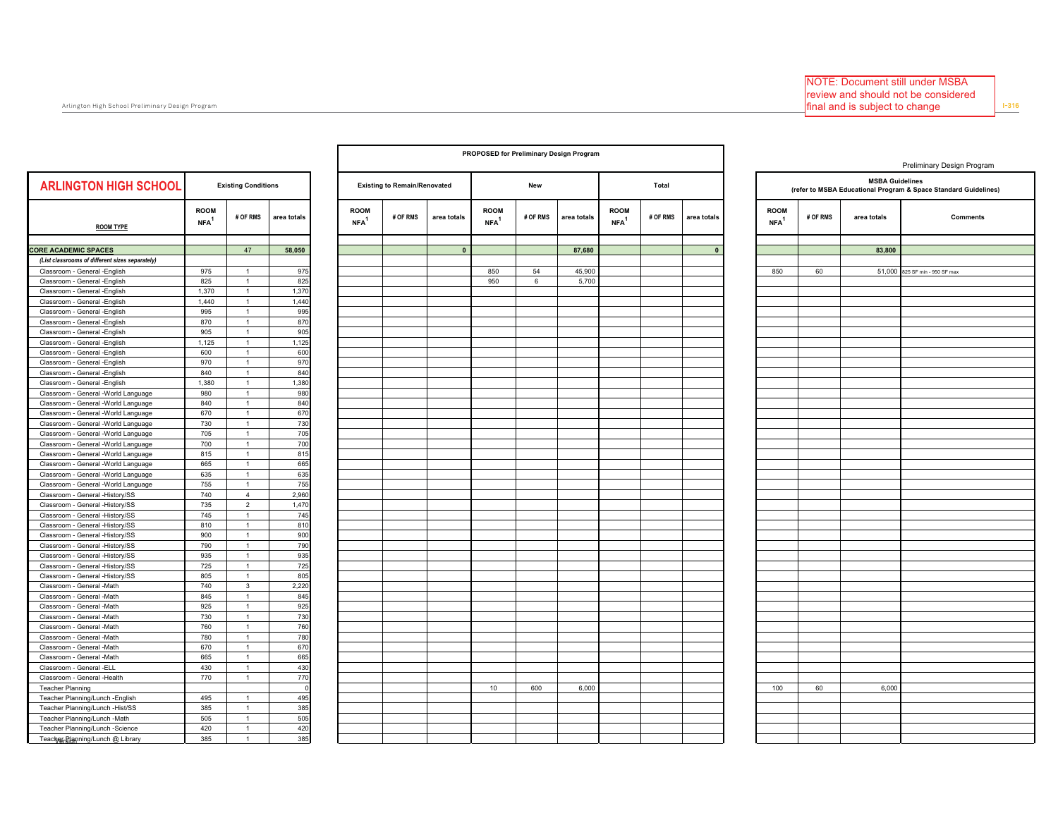$\overline{\mathbf{c}}$ 

|                                                                            |                                 |                                  |             |                                   |                                     |              | PROPOSED for Preliminary Design Program |          |             |                                   |          |             |                                 |          |                        |                                                                 |
|----------------------------------------------------------------------------|---------------------------------|----------------------------------|-------------|-----------------------------------|-------------------------------------|--------------|-----------------------------------------|----------|-------------|-----------------------------------|----------|-------------|---------------------------------|----------|------------------------|-----------------------------------------------------------------|
|                                                                            |                                 |                                  |             |                                   |                                     |              |                                         |          |             |                                   |          |             |                                 |          |                        | Preliminary Design Program                                      |
| <b>ARLINGTON HIGH SCHOOL</b>                                               |                                 | <b>Existing Conditions</b>       |             |                                   | <b>Existing to Remain/Renovated</b> |              |                                         | New      |             |                                   | Total    |             |                                 |          | <b>MSBA Guidelines</b> | (refer to MSBA Educational Program & Space Standard Guidelines) |
| <b>ROOM TYPE</b>                                                           | <b>ROOM</b><br>NFA <sup>1</sup> | # OF RMS                         | area totals | <b>ROOM</b><br>$NFA$ <sup>1</sup> | # OF RMS                            | area totals  | <b>ROOM</b><br>NFA <sup>1</sup>         | # OF RMS | area totals | <b>ROOM</b><br>$NFA$ <sup>1</sup> | # OF RMS | area totals | <b>ROOM</b><br>NFA <sup>1</sup> | # OF RMS | area totals            | <b>Comments</b>                                                 |
|                                                                            |                                 |                                  |             |                                   |                                     |              |                                         |          |             |                                   |          |             |                                 |          |                        |                                                                 |
| <b>ORE ACADEMIC SPACES</b>                                                 |                                 | 47                               | 58,050      |                                   |                                     | $\mathbf{0}$ |                                         |          | 87,680      |                                   |          | $\Omega$    |                                 |          | 83,800                 |                                                                 |
| (List classrooms of different sizes separately)                            |                                 |                                  |             |                                   |                                     |              |                                         |          |             |                                   |          |             |                                 |          |                        |                                                                 |
| Classroom - General -English                                               | 975                             | $\mathbf{1}$                     | 975         |                                   |                                     |              | 850                                     | 54       | 45,900      |                                   |          |             | 850                             | 60       |                        | 51,000 825 SF min - 950 SF max                                  |
| Classroom - General -English                                               | 825                             | $\overline{1}$                   | 825         |                                   |                                     |              | 950                                     | 6        | 5,700       |                                   |          |             |                                 |          |                        |                                                                 |
| Classroom - General -English                                               | 1,370                           | $\mathbf{1}$                     | 1,370       |                                   |                                     |              |                                         |          |             |                                   |          |             |                                 |          |                        |                                                                 |
| Classroom - General -English                                               | 1,440                           | $\overline{1}$                   | 1,440       |                                   |                                     |              |                                         |          |             |                                   |          |             |                                 |          |                        |                                                                 |
| Classroom - General -English                                               | 995                             | $\overline{1}$                   | 995         |                                   |                                     |              |                                         |          |             |                                   |          |             |                                 |          |                        |                                                                 |
| Classroom - General -English                                               | 870                             | $\mathbf{1}$                     | 870         |                                   |                                     |              |                                         |          |             |                                   |          |             |                                 |          |                        |                                                                 |
| Classroom - General -English                                               | 905                             | $\overline{1}$                   | 905         |                                   |                                     |              |                                         |          |             |                                   |          |             |                                 |          |                        |                                                                 |
| Classroom - General -English                                               | 1,125                           | $\mathbf{1}$                     | 1,125       |                                   |                                     |              |                                         |          |             |                                   |          |             |                                 |          |                        |                                                                 |
| Classroom - General -English                                               | 600                             | $\mathbf{1}$                     | 600         |                                   |                                     |              |                                         |          |             |                                   |          |             |                                 |          |                        |                                                                 |
| Classroom - General -English                                               | 970                             | $\mathbf{1}$                     | 970         |                                   |                                     |              |                                         |          |             |                                   |          |             |                                 |          |                        |                                                                 |
| Classroom - General -English                                               | 840                             | $\mathbf{1}$                     | 840         |                                   |                                     |              |                                         |          |             |                                   |          |             |                                 |          |                        |                                                                 |
| Classroom - General - English                                              | 1,380                           | $\overline{1}$<br>$\overline{1}$ | 1,380       |                                   |                                     |              |                                         |          |             |                                   |          |             |                                 |          |                        |                                                                 |
| Classroom - General -World Language                                        | 980                             |                                  | 980<br>840  |                                   |                                     |              |                                         |          |             |                                   |          |             |                                 |          |                        |                                                                 |
| Classroom - General -World Language                                        | 840                             | $\mathbf{1}$<br>$\overline{1}$   | 670         |                                   |                                     |              |                                         |          |             |                                   |          |             |                                 |          |                        |                                                                 |
| Classroom - General -World Language                                        | 670                             | $\mathbf{1}$                     | 730         |                                   |                                     |              |                                         |          |             |                                   |          |             |                                 |          |                        |                                                                 |
| Classroom - General -World Language                                        | 730<br>705                      | $\overline{1}$                   | 705         |                                   |                                     |              |                                         |          |             |                                   |          |             |                                 |          |                        |                                                                 |
| Classroom - General -World Language<br>Classroom - General -World Language | 700                             | $\mathbf{1}$                     | 700         |                                   |                                     |              |                                         |          |             |                                   |          |             |                                 |          |                        |                                                                 |
|                                                                            | 815                             | $\mathbf{1}$                     | 815         |                                   |                                     |              |                                         |          |             |                                   |          |             |                                 |          |                        |                                                                 |
| Classroom - General -World Language                                        | 665                             | $\overline{1}$                   | 665         |                                   |                                     |              |                                         |          |             |                                   |          |             |                                 |          |                        |                                                                 |
| Classroom - General -World Language<br>Classroom - General -World Language | 635                             | $\overline{1}$                   | 635         |                                   |                                     |              |                                         |          |             |                                   |          |             |                                 |          |                        |                                                                 |
|                                                                            | 755                             | $\overline{1}$                   | 755         |                                   |                                     |              |                                         |          |             |                                   |          |             |                                 |          |                        |                                                                 |
| Classroom - General -World Language<br>Classroom - General -History/SS     | 740                             | $\overline{4}$                   | 2,960       |                                   |                                     |              |                                         |          |             |                                   |          |             |                                 |          |                        |                                                                 |
| Classroom - General -History/SS                                            | 735                             | $\overline{2}$                   | 1,470       |                                   |                                     |              |                                         |          |             |                                   |          |             |                                 |          |                        |                                                                 |
| Classroom - General -History/SS                                            | 745                             | $\mathbf{1}$                     | 745         |                                   |                                     |              |                                         |          |             |                                   |          |             |                                 |          |                        |                                                                 |
| Classroom - General -History/SS                                            | 810                             | $\mathbf{1}$                     | 810         |                                   |                                     |              |                                         |          |             |                                   |          |             |                                 |          |                        |                                                                 |
| Classroom - General -History/SS                                            | 900                             | $\mathbf{1}$                     | 900         |                                   |                                     |              |                                         |          |             |                                   |          |             |                                 |          |                        |                                                                 |
| Classroom - General -History/SS                                            | 790                             | $\mathbf{1}$                     | 790         |                                   |                                     |              |                                         |          |             |                                   |          |             |                                 |          |                        |                                                                 |
| Classroom - General -History/SS                                            | 935                             | $\mathbf{1}$                     | 935         |                                   |                                     |              |                                         |          |             |                                   |          |             |                                 |          |                        |                                                                 |
| Classroom - General -History/SS                                            | 725                             | $\overline{1}$                   | 725         |                                   |                                     |              |                                         |          |             |                                   |          |             |                                 |          |                        |                                                                 |
| Classroom - General -History/SS                                            | 805                             | $\mathbf{1}$                     | 805         |                                   |                                     |              |                                         |          |             |                                   |          |             |                                 |          |                        |                                                                 |
| Classroom - General -Math                                                  | 740                             | $\mathbf{3}$                     | 2,220       |                                   |                                     |              |                                         |          |             |                                   |          |             |                                 |          |                        |                                                                 |
| Classroom - General -Math                                                  | 845                             | $\overline{1}$                   | 845         |                                   |                                     |              |                                         |          |             |                                   |          |             |                                 |          |                        |                                                                 |
| Classroom - General -Math                                                  | 925                             | $\overline{1}$                   | 925         |                                   |                                     |              |                                         |          |             |                                   |          |             |                                 |          |                        |                                                                 |
| Classroom - General -Math                                                  | 730                             | $\mathbf{1}$                     | 730         |                                   |                                     |              |                                         |          |             |                                   |          |             |                                 |          |                        |                                                                 |
| Classroom - General -Math                                                  | 760                             | $\overline{1}$                   | 760         |                                   |                                     |              |                                         |          |             |                                   |          |             |                                 |          |                        |                                                                 |
| Classroom - General -Math                                                  | 780                             | $\overline{1}$                   | 780         |                                   |                                     |              |                                         |          |             |                                   |          |             |                                 |          |                        |                                                                 |
| Classroom - General -Math                                                  | 670                             | $\overline{1}$                   | 670         |                                   |                                     |              |                                         |          |             |                                   |          |             |                                 |          |                        |                                                                 |
| Classroom - General -Math                                                  | 665                             | $\mathbf{1}$                     | 665         |                                   |                                     |              |                                         |          |             |                                   |          |             |                                 |          |                        |                                                                 |
| Classroom - General -ELL                                                   | 430                             | $\mathbf{1}$                     | 430         |                                   |                                     |              |                                         |          |             |                                   |          |             |                                 |          |                        |                                                                 |
| Classroom - General -Health                                                | 770                             | $\mathbf{1}$                     | 770         |                                   |                                     |              |                                         |          |             |                                   |          |             |                                 |          |                        |                                                                 |
| <b>Teacher Planning</b>                                                    |                                 |                                  |             |                                   |                                     |              | 10                                      | 600      | 6,000       |                                   |          |             | 100                             | 60       | 6,000                  |                                                                 |
| Teacher Planning/Lunch -English                                            | 495                             | $\mathbf{1}$                     | 495         |                                   |                                     |              |                                         |          |             |                                   |          |             |                                 |          |                        |                                                                 |
| Teacher Planning/Lunch -Hist/SS                                            | 385                             | $\mathbf{1}$                     | 385         |                                   |                                     |              |                                         |          |             |                                   |          |             |                                 |          |                        |                                                                 |
| Teacher Planning/Lunch -Math                                               | 505                             | $\overline{1}$                   | 505         |                                   |                                     |              |                                         |          |             |                                   |          |             |                                 |          |                        |                                                                 |
| Teacher Planning/Lunch -Science                                            | 420                             | $\mathbf{1}$                     | 420         |                                   |                                     |              |                                         |          |             |                                   |          |             |                                 |          |                        |                                                                 |
| Teacher-Rignning/Lunch @ Library                                           | 385                             | $\overline{1}$                   | 385         |                                   |                                     |              |                                         |          |             |                                   |          |             |                                 |          |                        |                                                                 |
|                                                                            |                                 |                                  |             |                                   |                                     |              |                                         |          |             |                                   |          |             |                                 |          |                        |                                                                 |

Г

## $1 - 316$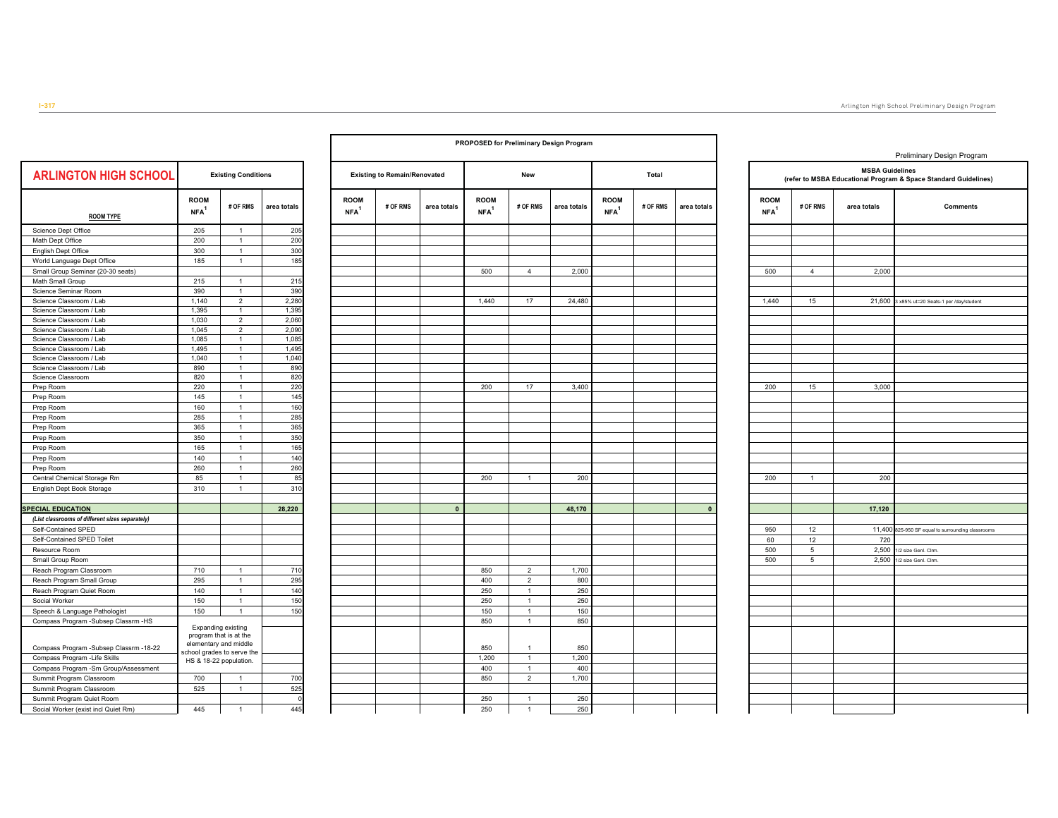$\overline{\phantom{0}}$ 

| <b>ARLINGTON HIGH SCHOOL</b><br><b>Existing Conditions</b><br><b>Existing to Remain/Renovated</b><br>Total<br>New<br><b>ROOM</b><br><b>ROOM</b><br><b>ROOM</b><br><b>ROOM</b><br># OF RMS<br># OF RMS<br># OF RMS<br># OF RMS<br>area totals<br>area totals<br>area totals<br>NFA <sup>1</sup><br>NFA <sup>1</sup><br>NFA <sup>1</sup><br>NFA <sup>1</sup><br><b>ROOM TYPE</b><br>205<br>205<br>Science Dept Office<br>$\overline{1}$<br>$\mathbf{1}$<br>200<br>Math Dept Office<br>200<br>300<br>300<br>$\mathbf{1}$<br>English Dept Office<br>$\overline{1}$<br>185<br>World Language Dept Office<br>185<br>Small Group Seminar (20-30 seats)<br>500<br>$\overline{4}$<br>2,000<br>215<br>215<br>Math Small Group<br>$\mathbf{1}$<br>$\overline{1}$<br>Science Seminar Room<br>390<br>390<br>$\overline{2}$<br>2,280<br>$17\,$<br>Science Classroom / Lab<br>1,140<br>1,440<br>24,480<br>$\mathbf{1}$<br>1,395<br>Science Classroom / Lab<br>1,395<br>$\overline{2}$<br>2,060<br>Science Classroom / Lab<br>1,030<br>$\overline{2}$<br>2,090<br>Science Classroom / Lab<br>1,045<br>1,085<br>Science Classroom / Lab<br>1,085<br>$\mathbf{1}$<br>Science Classroom / Lab<br>$\mathbf{1}$<br>1,495<br>1,495<br>1,040<br>Science Classroom / Lab<br>1,040<br>$\mathbf{1}$<br>Science Classroom / Lab<br>$\mathbf{1}$<br>890<br>890<br>820<br>Science Classroom<br>820<br>$\mathbf{1}$<br>220<br>3,400<br>Prep Room<br>220<br>$\mathbf{1}$<br>200<br>$17\,$<br>145<br>145<br>$\mathbf{1}$<br>Prep Room<br>$\mathbf{1}$<br>160<br>Prep Room<br>160<br>285<br>Prep Room<br>285<br>$\mathbf{1}$<br>365<br>365<br>$\mathbf{1}$<br>Prep Room<br>350<br>350<br>$\mathbf{1}$<br>Prep Room<br>$\mathbf{1}$<br>165<br>Prep Room<br>165<br>$\mathbf{1}$<br>140<br>140<br>Prep Room<br>260<br>260<br>$\mathbf{1}$<br>Prep Room<br>$\mathbf{1}$<br>85<br>200<br>Central Chemical Storage Rm<br>85<br>200<br>$\mathbf{1}$<br>310<br>English Dept Book Storage<br>310<br>$\mathbf{1}$<br><b>SPECIAL EDUCATION</b><br>28,220<br>$\pmb{0}$<br>48,170<br>(List classrooms of different sizes separately)<br>Self-Contained SPED<br>Self-Contained SPED Toilet<br>Resource Room<br>Small Group Room<br>710<br>$\overline{2}$<br>Reach Program Classroom<br>710<br>$\mathbf{1}$<br>850<br>1,700<br>295<br>$\mathbf 2$<br>800<br>Reach Program Small Group<br>295<br>$\mathbf{1}$<br>400<br>$\overline{1}$<br>140<br>$\overline{1}$<br>250<br>Reach Program Quiet Room<br>140<br>250<br>$\mathbf{1}$<br>150<br>$\mathbf{1}$<br>250<br>Social Worker<br>150<br>250<br>150<br>150<br>Speech & Language Pathologist<br>150<br>$\mathbf{1}$<br>150<br>$\mathbf{1}$<br>$\mathbf{1}$<br>850<br>Compass Program -Subsep Classrm -HS<br>850<br>Expanding existing<br>program that is at the<br>elementary and middle<br>Compass Program -Subsep Classrm -18-22<br>850<br>850<br>$\mathbf{1}$<br>school grades to serve the<br>Compass Program - Life Skills<br>1,200<br>$\mathbf{1}$<br>1,200<br>HS & 18-22 population.<br>Compass Program - Sm Group/Assessment<br>400<br>$\mathbf{1}$<br>400<br>700<br>$\overline{2}$<br>1,700<br>Summit Program Classroom<br>700<br>$\mathbf{1}$<br>850<br>525<br>525<br>Summit Program Classroom<br>$\mathbf{1}$<br>250<br>Summit Program Quiet Room<br>$\Omega$<br>250<br>$\mathbf{1}$ |  |     |  |  |  |  |             |
|------------------------------------------------------------------------------------------------------------------------------------------------------------------------------------------------------------------------------------------------------------------------------------------------------------------------------------------------------------------------------------------------------------------------------------------------------------------------------------------------------------------------------------------------------------------------------------------------------------------------------------------------------------------------------------------------------------------------------------------------------------------------------------------------------------------------------------------------------------------------------------------------------------------------------------------------------------------------------------------------------------------------------------------------------------------------------------------------------------------------------------------------------------------------------------------------------------------------------------------------------------------------------------------------------------------------------------------------------------------------------------------------------------------------------------------------------------------------------------------------------------------------------------------------------------------------------------------------------------------------------------------------------------------------------------------------------------------------------------------------------------------------------------------------------------------------------------------------------------------------------------------------------------------------------------------------------------------------------------------------------------------------------------------------------------------------------------------------------------------------------------------------------------------------------------------------------------------------------------------------------------------------------------------------------------------------------------------------------------------------------------------------------------------------------------------------------------------------------------------------------------------------------------------------------------------------------------------------------------------------------------------------------------------------------------------------------------------------------------------------------------------------------------------------------------------------------------------------------------------------------------------------------------------------------------------------------------------------------------------------------------------------------------------------------------------------------------------------------------------------------------------------------------------------------------------------------------------------------------------------------------------------------------------------|--|-----|--|--|--|--|-------------|
|                                                                                                                                                                                                                                                                                                                                                                                                                                                                                                                                                                                                                                                                                                                                                                                                                                                                                                                                                                                                                                                                                                                                                                                                                                                                                                                                                                                                                                                                                                                                                                                                                                                                                                                                                                                                                                                                                                                                                                                                                                                                                                                                                                                                                                                                                                                                                                                                                                                                                                                                                                                                                                                                                                                                                                                                                                                                                                                                                                                                                                                                                                                                                                                                                                                                                                |  |     |  |  |  |  |             |
|                                                                                                                                                                                                                                                                                                                                                                                                                                                                                                                                                                                                                                                                                                                                                                                                                                                                                                                                                                                                                                                                                                                                                                                                                                                                                                                                                                                                                                                                                                                                                                                                                                                                                                                                                                                                                                                                                                                                                                                                                                                                                                                                                                                                                                                                                                                                                                                                                                                                                                                                                                                                                                                                                                                                                                                                                                                                                                                                                                                                                                                                                                                                                                                                                                                                                                |  |     |  |  |  |  | area totals |
|                                                                                                                                                                                                                                                                                                                                                                                                                                                                                                                                                                                                                                                                                                                                                                                                                                                                                                                                                                                                                                                                                                                                                                                                                                                                                                                                                                                                                                                                                                                                                                                                                                                                                                                                                                                                                                                                                                                                                                                                                                                                                                                                                                                                                                                                                                                                                                                                                                                                                                                                                                                                                                                                                                                                                                                                                                                                                                                                                                                                                                                                                                                                                                                                                                                                                                |  |     |  |  |  |  |             |
|                                                                                                                                                                                                                                                                                                                                                                                                                                                                                                                                                                                                                                                                                                                                                                                                                                                                                                                                                                                                                                                                                                                                                                                                                                                                                                                                                                                                                                                                                                                                                                                                                                                                                                                                                                                                                                                                                                                                                                                                                                                                                                                                                                                                                                                                                                                                                                                                                                                                                                                                                                                                                                                                                                                                                                                                                                                                                                                                                                                                                                                                                                                                                                                                                                                                                                |  |     |  |  |  |  |             |
|                                                                                                                                                                                                                                                                                                                                                                                                                                                                                                                                                                                                                                                                                                                                                                                                                                                                                                                                                                                                                                                                                                                                                                                                                                                                                                                                                                                                                                                                                                                                                                                                                                                                                                                                                                                                                                                                                                                                                                                                                                                                                                                                                                                                                                                                                                                                                                                                                                                                                                                                                                                                                                                                                                                                                                                                                                                                                                                                                                                                                                                                                                                                                                                                                                                                                                |  |     |  |  |  |  |             |
|                                                                                                                                                                                                                                                                                                                                                                                                                                                                                                                                                                                                                                                                                                                                                                                                                                                                                                                                                                                                                                                                                                                                                                                                                                                                                                                                                                                                                                                                                                                                                                                                                                                                                                                                                                                                                                                                                                                                                                                                                                                                                                                                                                                                                                                                                                                                                                                                                                                                                                                                                                                                                                                                                                                                                                                                                                                                                                                                                                                                                                                                                                                                                                                                                                                                                                |  |     |  |  |  |  |             |
|                                                                                                                                                                                                                                                                                                                                                                                                                                                                                                                                                                                                                                                                                                                                                                                                                                                                                                                                                                                                                                                                                                                                                                                                                                                                                                                                                                                                                                                                                                                                                                                                                                                                                                                                                                                                                                                                                                                                                                                                                                                                                                                                                                                                                                                                                                                                                                                                                                                                                                                                                                                                                                                                                                                                                                                                                                                                                                                                                                                                                                                                                                                                                                                                                                                                                                |  |     |  |  |  |  |             |
|                                                                                                                                                                                                                                                                                                                                                                                                                                                                                                                                                                                                                                                                                                                                                                                                                                                                                                                                                                                                                                                                                                                                                                                                                                                                                                                                                                                                                                                                                                                                                                                                                                                                                                                                                                                                                                                                                                                                                                                                                                                                                                                                                                                                                                                                                                                                                                                                                                                                                                                                                                                                                                                                                                                                                                                                                                                                                                                                                                                                                                                                                                                                                                                                                                                                                                |  |     |  |  |  |  |             |
|                                                                                                                                                                                                                                                                                                                                                                                                                                                                                                                                                                                                                                                                                                                                                                                                                                                                                                                                                                                                                                                                                                                                                                                                                                                                                                                                                                                                                                                                                                                                                                                                                                                                                                                                                                                                                                                                                                                                                                                                                                                                                                                                                                                                                                                                                                                                                                                                                                                                                                                                                                                                                                                                                                                                                                                                                                                                                                                                                                                                                                                                                                                                                                                                                                                                                                |  |     |  |  |  |  |             |
|                                                                                                                                                                                                                                                                                                                                                                                                                                                                                                                                                                                                                                                                                                                                                                                                                                                                                                                                                                                                                                                                                                                                                                                                                                                                                                                                                                                                                                                                                                                                                                                                                                                                                                                                                                                                                                                                                                                                                                                                                                                                                                                                                                                                                                                                                                                                                                                                                                                                                                                                                                                                                                                                                                                                                                                                                                                                                                                                                                                                                                                                                                                                                                                                                                                                                                |  |     |  |  |  |  |             |
|                                                                                                                                                                                                                                                                                                                                                                                                                                                                                                                                                                                                                                                                                                                                                                                                                                                                                                                                                                                                                                                                                                                                                                                                                                                                                                                                                                                                                                                                                                                                                                                                                                                                                                                                                                                                                                                                                                                                                                                                                                                                                                                                                                                                                                                                                                                                                                                                                                                                                                                                                                                                                                                                                                                                                                                                                                                                                                                                                                                                                                                                                                                                                                                                                                                                                                |  |     |  |  |  |  |             |
|                                                                                                                                                                                                                                                                                                                                                                                                                                                                                                                                                                                                                                                                                                                                                                                                                                                                                                                                                                                                                                                                                                                                                                                                                                                                                                                                                                                                                                                                                                                                                                                                                                                                                                                                                                                                                                                                                                                                                                                                                                                                                                                                                                                                                                                                                                                                                                                                                                                                                                                                                                                                                                                                                                                                                                                                                                                                                                                                                                                                                                                                                                                                                                                                                                                                                                |  |     |  |  |  |  |             |
|                                                                                                                                                                                                                                                                                                                                                                                                                                                                                                                                                                                                                                                                                                                                                                                                                                                                                                                                                                                                                                                                                                                                                                                                                                                                                                                                                                                                                                                                                                                                                                                                                                                                                                                                                                                                                                                                                                                                                                                                                                                                                                                                                                                                                                                                                                                                                                                                                                                                                                                                                                                                                                                                                                                                                                                                                                                                                                                                                                                                                                                                                                                                                                                                                                                                                                |  |     |  |  |  |  |             |
|                                                                                                                                                                                                                                                                                                                                                                                                                                                                                                                                                                                                                                                                                                                                                                                                                                                                                                                                                                                                                                                                                                                                                                                                                                                                                                                                                                                                                                                                                                                                                                                                                                                                                                                                                                                                                                                                                                                                                                                                                                                                                                                                                                                                                                                                                                                                                                                                                                                                                                                                                                                                                                                                                                                                                                                                                                                                                                                                                                                                                                                                                                                                                                                                                                                                                                |  |     |  |  |  |  |             |
|                                                                                                                                                                                                                                                                                                                                                                                                                                                                                                                                                                                                                                                                                                                                                                                                                                                                                                                                                                                                                                                                                                                                                                                                                                                                                                                                                                                                                                                                                                                                                                                                                                                                                                                                                                                                                                                                                                                                                                                                                                                                                                                                                                                                                                                                                                                                                                                                                                                                                                                                                                                                                                                                                                                                                                                                                                                                                                                                                                                                                                                                                                                                                                                                                                                                                                |  |     |  |  |  |  |             |
|                                                                                                                                                                                                                                                                                                                                                                                                                                                                                                                                                                                                                                                                                                                                                                                                                                                                                                                                                                                                                                                                                                                                                                                                                                                                                                                                                                                                                                                                                                                                                                                                                                                                                                                                                                                                                                                                                                                                                                                                                                                                                                                                                                                                                                                                                                                                                                                                                                                                                                                                                                                                                                                                                                                                                                                                                                                                                                                                                                                                                                                                                                                                                                                                                                                                                                |  |     |  |  |  |  |             |
|                                                                                                                                                                                                                                                                                                                                                                                                                                                                                                                                                                                                                                                                                                                                                                                                                                                                                                                                                                                                                                                                                                                                                                                                                                                                                                                                                                                                                                                                                                                                                                                                                                                                                                                                                                                                                                                                                                                                                                                                                                                                                                                                                                                                                                                                                                                                                                                                                                                                                                                                                                                                                                                                                                                                                                                                                                                                                                                                                                                                                                                                                                                                                                                                                                                                                                |  |     |  |  |  |  |             |
|                                                                                                                                                                                                                                                                                                                                                                                                                                                                                                                                                                                                                                                                                                                                                                                                                                                                                                                                                                                                                                                                                                                                                                                                                                                                                                                                                                                                                                                                                                                                                                                                                                                                                                                                                                                                                                                                                                                                                                                                                                                                                                                                                                                                                                                                                                                                                                                                                                                                                                                                                                                                                                                                                                                                                                                                                                                                                                                                                                                                                                                                                                                                                                                                                                                                                                |  |     |  |  |  |  |             |
|                                                                                                                                                                                                                                                                                                                                                                                                                                                                                                                                                                                                                                                                                                                                                                                                                                                                                                                                                                                                                                                                                                                                                                                                                                                                                                                                                                                                                                                                                                                                                                                                                                                                                                                                                                                                                                                                                                                                                                                                                                                                                                                                                                                                                                                                                                                                                                                                                                                                                                                                                                                                                                                                                                                                                                                                                                                                                                                                                                                                                                                                                                                                                                                                                                                                                                |  |     |  |  |  |  |             |
|                                                                                                                                                                                                                                                                                                                                                                                                                                                                                                                                                                                                                                                                                                                                                                                                                                                                                                                                                                                                                                                                                                                                                                                                                                                                                                                                                                                                                                                                                                                                                                                                                                                                                                                                                                                                                                                                                                                                                                                                                                                                                                                                                                                                                                                                                                                                                                                                                                                                                                                                                                                                                                                                                                                                                                                                                                                                                                                                                                                                                                                                                                                                                                                                                                                                                                |  |     |  |  |  |  |             |
|                                                                                                                                                                                                                                                                                                                                                                                                                                                                                                                                                                                                                                                                                                                                                                                                                                                                                                                                                                                                                                                                                                                                                                                                                                                                                                                                                                                                                                                                                                                                                                                                                                                                                                                                                                                                                                                                                                                                                                                                                                                                                                                                                                                                                                                                                                                                                                                                                                                                                                                                                                                                                                                                                                                                                                                                                                                                                                                                                                                                                                                                                                                                                                                                                                                                                                |  |     |  |  |  |  |             |
|                                                                                                                                                                                                                                                                                                                                                                                                                                                                                                                                                                                                                                                                                                                                                                                                                                                                                                                                                                                                                                                                                                                                                                                                                                                                                                                                                                                                                                                                                                                                                                                                                                                                                                                                                                                                                                                                                                                                                                                                                                                                                                                                                                                                                                                                                                                                                                                                                                                                                                                                                                                                                                                                                                                                                                                                                                                                                                                                                                                                                                                                                                                                                                                                                                                                                                |  |     |  |  |  |  |             |
|                                                                                                                                                                                                                                                                                                                                                                                                                                                                                                                                                                                                                                                                                                                                                                                                                                                                                                                                                                                                                                                                                                                                                                                                                                                                                                                                                                                                                                                                                                                                                                                                                                                                                                                                                                                                                                                                                                                                                                                                                                                                                                                                                                                                                                                                                                                                                                                                                                                                                                                                                                                                                                                                                                                                                                                                                                                                                                                                                                                                                                                                                                                                                                                                                                                                                                |  |     |  |  |  |  |             |
|                                                                                                                                                                                                                                                                                                                                                                                                                                                                                                                                                                                                                                                                                                                                                                                                                                                                                                                                                                                                                                                                                                                                                                                                                                                                                                                                                                                                                                                                                                                                                                                                                                                                                                                                                                                                                                                                                                                                                                                                                                                                                                                                                                                                                                                                                                                                                                                                                                                                                                                                                                                                                                                                                                                                                                                                                                                                                                                                                                                                                                                                                                                                                                                                                                                                                                |  |     |  |  |  |  |             |
|                                                                                                                                                                                                                                                                                                                                                                                                                                                                                                                                                                                                                                                                                                                                                                                                                                                                                                                                                                                                                                                                                                                                                                                                                                                                                                                                                                                                                                                                                                                                                                                                                                                                                                                                                                                                                                                                                                                                                                                                                                                                                                                                                                                                                                                                                                                                                                                                                                                                                                                                                                                                                                                                                                                                                                                                                                                                                                                                                                                                                                                                                                                                                                                                                                                                                                |  |     |  |  |  |  |             |
|                                                                                                                                                                                                                                                                                                                                                                                                                                                                                                                                                                                                                                                                                                                                                                                                                                                                                                                                                                                                                                                                                                                                                                                                                                                                                                                                                                                                                                                                                                                                                                                                                                                                                                                                                                                                                                                                                                                                                                                                                                                                                                                                                                                                                                                                                                                                                                                                                                                                                                                                                                                                                                                                                                                                                                                                                                                                                                                                                                                                                                                                                                                                                                                                                                                                                                |  |     |  |  |  |  |             |
|                                                                                                                                                                                                                                                                                                                                                                                                                                                                                                                                                                                                                                                                                                                                                                                                                                                                                                                                                                                                                                                                                                                                                                                                                                                                                                                                                                                                                                                                                                                                                                                                                                                                                                                                                                                                                                                                                                                                                                                                                                                                                                                                                                                                                                                                                                                                                                                                                                                                                                                                                                                                                                                                                                                                                                                                                                                                                                                                                                                                                                                                                                                                                                                                                                                                                                |  |     |  |  |  |  |             |
|                                                                                                                                                                                                                                                                                                                                                                                                                                                                                                                                                                                                                                                                                                                                                                                                                                                                                                                                                                                                                                                                                                                                                                                                                                                                                                                                                                                                                                                                                                                                                                                                                                                                                                                                                                                                                                                                                                                                                                                                                                                                                                                                                                                                                                                                                                                                                                                                                                                                                                                                                                                                                                                                                                                                                                                                                                                                                                                                                                                                                                                                                                                                                                                                                                                                                                |  |     |  |  |  |  |             |
|                                                                                                                                                                                                                                                                                                                                                                                                                                                                                                                                                                                                                                                                                                                                                                                                                                                                                                                                                                                                                                                                                                                                                                                                                                                                                                                                                                                                                                                                                                                                                                                                                                                                                                                                                                                                                                                                                                                                                                                                                                                                                                                                                                                                                                                                                                                                                                                                                                                                                                                                                                                                                                                                                                                                                                                                                                                                                                                                                                                                                                                                                                                                                                                                                                                                                                |  |     |  |  |  |  |             |
|                                                                                                                                                                                                                                                                                                                                                                                                                                                                                                                                                                                                                                                                                                                                                                                                                                                                                                                                                                                                                                                                                                                                                                                                                                                                                                                                                                                                                                                                                                                                                                                                                                                                                                                                                                                                                                                                                                                                                                                                                                                                                                                                                                                                                                                                                                                                                                                                                                                                                                                                                                                                                                                                                                                                                                                                                                                                                                                                                                                                                                                                                                                                                                                                                                                                                                |  |     |  |  |  |  |             |
|                                                                                                                                                                                                                                                                                                                                                                                                                                                                                                                                                                                                                                                                                                                                                                                                                                                                                                                                                                                                                                                                                                                                                                                                                                                                                                                                                                                                                                                                                                                                                                                                                                                                                                                                                                                                                                                                                                                                                                                                                                                                                                                                                                                                                                                                                                                                                                                                                                                                                                                                                                                                                                                                                                                                                                                                                                                                                                                                                                                                                                                                                                                                                                                                                                                                                                |  |     |  |  |  |  |             |
|                                                                                                                                                                                                                                                                                                                                                                                                                                                                                                                                                                                                                                                                                                                                                                                                                                                                                                                                                                                                                                                                                                                                                                                                                                                                                                                                                                                                                                                                                                                                                                                                                                                                                                                                                                                                                                                                                                                                                                                                                                                                                                                                                                                                                                                                                                                                                                                                                                                                                                                                                                                                                                                                                                                                                                                                                                                                                                                                                                                                                                                                                                                                                                                                                                                                                                |  |     |  |  |  |  |             |
|                                                                                                                                                                                                                                                                                                                                                                                                                                                                                                                                                                                                                                                                                                                                                                                                                                                                                                                                                                                                                                                                                                                                                                                                                                                                                                                                                                                                                                                                                                                                                                                                                                                                                                                                                                                                                                                                                                                                                                                                                                                                                                                                                                                                                                                                                                                                                                                                                                                                                                                                                                                                                                                                                                                                                                                                                                                                                                                                                                                                                                                                                                                                                                                                                                                                                                |  |     |  |  |  |  |             |
|                                                                                                                                                                                                                                                                                                                                                                                                                                                                                                                                                                                                                                                                                                                                                                                                                                                                                                                                                                                                                                                                                                                                                                                                                                                                                                                                                                                                                                                                                                                                                                                                                                                                                                                                                                                                                                                                                                                                                                                                                                                                                                                                                                                                                                                                                                                                                                                                                                                                                                                                                                                                                                                                                                                                                                                                                                                                                                                                                                                                                                                                                                                                                                                                                                                                                                |  |     |  |  |  |  |             |
|                                                                                                                                                                                                                                                                                                                                                                                                                                                                                                                                                                                                                                                                                                                                                                                                                                                                                                                                                                                                                                                                                                                                                                                                                                                                                                                                                                                                                                                                                                                                                                                                                                                                                                                                                                                                                                                                                                                                                                                                                                                                                                                                                                                                                                                                                                                                                                                                                                                                                                                                                                                                                                                                                                                                                                                                                                                                                                                                                                                                                                                                                                                                                                                                                                                                                                |  |     |  |  |  |  |             |
|                                                                                                                                                                                                                                                                                                                                                                                                                                                                                                                                                                                                                                                                                                                                                                                                                                                                                                                                                                                                                                                                                                                                                                                                                                                                                                                                                                                                                                                                                                                                                                                                                                                                                                                                                                                                                                                                                                                                                                                                                                                                                                                                                                                                                                                                                                                                                                                                                                                                                                                                                                                                                                                                                                                                                                                                                                                                                                                                                                                                                                                                                                                                                                                                                                                                                                |  |     |  |  |  |  |             |
|                                                                                                                                                                                                                                                                                                                                                                                                                                                                                                                                                                                                                                                                                                                                                                                                                                                                                                                                                                                                                                                                                                                                                                                                                                                                                                                                                                                                                                                                                                                                                                                                                                                                                                                                                                                                                                                                                                                                                                                                                                                                                                                                                                                                                                                                                                                                                                                                                                                                                                                                                                                                                                                                                                                                                                                                                                                                                                                                                                                                                                                                                                                                                                                                                                                                                                |  |     |  |  |  |  |             |
|                                                                                                                                                                                                                                                                                                                                                                                                                                                                                                                                                                                                                                                                                                                                                                                                                                                                                                                                                                                                                                                                                                                                                                                                                                                                                                                                                                                                                                                                                                                                                                                                                                                                                                                                                                                                                                                                                                                                                                                                                                                                                                                                                                                                                                                                                                                                                                                                                                                                                                                                                                                                                                                                                                                                                                                                                                                                                                                                                                                                                                                                                                                                                                                                                                                                                                |  |     |  |  |  |  |             |
|                                                                                                                                                                                                                                                                                                                                                                                                                                                                                                                                                                                                                                                                                                                                                                                                                                                                                                                                                                                                                                                                                                                                                                                                                                                                                                                                                                                                                                                                                                                                                                                                                                                                                                                                                                                                                                                                                                                                                                                                                                                                                                                                                                                                                                                                                                                                                                                                                                                                                                                                                                                                                                                                                                                                                                                                                                                                                                                                                                                                                                                                                                                                                                                                                                                                                                |  |     |  |  |  |  |             |
|                                                                                                                                                                                                                                                                                                                                                                                                                                                                                                                                                                                                                                                                                                                                                                                                                                                                                                                                                                                                                                                                                                                                                                                                                                                                                                                                                                                                                                                                                                                                                                                                                                                                                                                                                                                                                                                                                                                                                                                                                                                                                                                                                                                                                                                                                                                                                                                                                                                                                                                                                                                                                                                                                                                                                                                                                                                                                                                                                                                                                                                                                                                                                                                                                                                                                                |  |     |  |  |  |  |             |
|                                                                                                                                                                                                                                                                                                                                                                                                                                                                                                                                                                                                                                                                                                                                                                                                                                                                                                                                                                                                                                                                                                                                                                                                                                                                                                                                                                                                                                                                                                                                                                                                                                                                                                                                                                                                                                                                                                                                                                                                                                                                                                                                                                                                                                                                                                                                                                                                                                                                                                                                                                                                                                                                                                                                                                                                                                                                                                                                                                                                                                                                                                                                                                                                                                                                                                |  |     |  |  |  |  |             |
|                                                                                                                                                                                                                                                                                                                                                                                                                                                                                                                                                                                                                                                                                                                                                                                                                                                                                                                                                                                                                                                                                                                                                                                                                                                                                                                                                                                                                                                                                                                                                                                                                                                                                                                                                                                                                                                                                                                                                                                                                                                                                                                                                                                                                                                                                                                                                                                                                                                                                                                                                                                                                                                                                                                                                                                                                                                                                                                                                                                                                                                                                                                                                                                                                                                                                                |  |     |  |  |  |  |             |
|                                                                                                                                                                                                                                                                                                                                                                                                                                                                                                                                                                                                                                                                                                                                                                                                                                                                                                                                                                                                                                                                                                                                                                                                                                                                                                                                                                                                                                                                                                                                                                                                                                                                                                                                                                                                                                                                                                                                                                                                                                                                                                                                                                                                                                                                                                                                                                                                                                                                                                                                                                                                                                                                                                                                                                                                                                                                                                                                                                                                                                                                                                                                                                                                                                                                                                |  |     |  |  |  |  |             |
|                                                                                                                                                                                                                                                                                                                                                                                                                                                                                                                                                                                                                                                                                                                                                                                                                                                                                                                                                                                                                                                                                                                                                                                                                                                                                                                                                                                                                                                                                                                                                                                                                                                                                                                                                                                                                                                                                                                                                                                                                                                                                                                                                                                                                                                                                                                                                                                                                                                                                                                                                                                                                                                                                                                                                                                                                                                                                                                                                                                                                                                                                                                                                                                                                                                                                                |  |     |  |  |  |  |             |
|                                                                                                                                                                                                                                                                                                                                                                                                                                                                                                                                                                                                                                                                                                                                                                                                                                                                                                                                                                                                                                                                                                                                                                                                                                                                                                                                                                                                                                                                                                                                                                                                                                                                                                                                                                                                                                                                                                                                                                                                                                                                                                                                                                                                                                                                                                                                                                                                                                                                                                                                                                                                                                                                                                                                                                                                                                                                                                                                                                                                                                                                                                                                                                                                                                                                                                |  |     |  |  |  |  |             |
|                                                                                                                                                                                                                                                                                                                                                                                                                                                                                                                                                                                                                                                                                                                                                                                                                                                                                                                                                                                                                                                                                                                                                                                                                                                                                                                                                                                                                                                                                                                                                                                                                                                                                                                                                                                                                                                                                                                                                                                                                                                                                                                                                                                                                                                                                                                                                                                                                                                                                                                                                                                                                                                                                                                                                                                                                                                                                                                                                                                                                                                                                                                                                                                                                                                                                                |  |     |  |  |  |  |             |
| 250<br>250<br>Social Worker (exist incl Quiet Rm)<br>445<br>$\mathbf{1}$<br>$\mathbf{1}$                                                                                                                                                                                                                                                                                                                                                                                                                                                                                                                                                                                                                                                                                                                                                                                                                                                                                                                                                                                                                                                                                                                                                                                                                                                                                                                                                                                                                                                                                                                                                                                                                                                                                                                                                                                                                                                                                                                                                                                                                                                                                                                                                                                                                                                                                                                                                                                                                                                                                                                                                                                                                                                                                                                                                                                                                                                                                                                                                                                                                                                                                                                                                                                                       |  | 445 |  |  |  |  |             |

|                                 | <b>Existing to Remain/Renovated</b> |             |                                 | New                         |             |                                 | Total    |             |
|---------------------------------|-------------------------------------|-------------|---------------------------------|-----------------------------|-------------|---------------------------------|----------|-------------|
| <b>ROOM</b><br>NFA <sup>1</sup> | # OF RMS                            | area totals | <b>ROOM</b><br>NFA <sup>1</sup> | # OF RMS                    | area totals | <b>ROOM</b><br>NFA <sup>1</sup> | # OF RMS | area totals |
|                                 |                                     |             |                                 |                             |             |                                 |          |             |
|                                 |                                     |             |                                 |                             |             |                                 |          |             |
|                                 |                                     |             |                                 |                             |             |                                 |          |             |
|                                 |                                     |             | 500                             | 4                           | 2,000       |                                 |          |             |
|                                 |                                     |             |                                 |                             |             |                                 |          |             |
|                                 |                                     |             |                                 |                             |             |                                 |          |             |
|                                 |                                     |             | 1,440                           | $17\,$                      | 24,480      |                                 |          |             |
|                                 |                                     |             |                                 |                             |             |                                 |          |             |
|                                 |                                     |             |                                 |                             |             |                                 |          |             |
|                                 |                                     |             |                                 |                             |             |                                 |          |             |
|                                 |                                     |             |                                 |                             |             |                                 |          |             |
|                                 |                                     |             |                                 |                             |             |                                 |          |             |
|                                 |                                     |             |                                 |                             |             |                                 |          |             |
|                                 |                                     |             | 200                             | 17                          | 3,400       |                                 |          |             |
|                                 |                                     |             |                                 |                             |             |                                 |          |             |
|                                 |                                     |             |                                 |                             |             |                                 |          |             |
|                                 |                                     |             |                                 |                             |             |                                 |          |             |
|                                 |                                     |             |                                 |                             |             |                                 |          |             |
|                                 |                                     |             |                                 |                             |             |                                 |          |             |
|                                 |                                     |             |                                 |                             |             |                                 |          |             |
|                                 |                                     |             |                                 |                             |             |                                 |          |             |
|                                 |                                     |             |                                 |                             |             |                                 |          |             |
|                                 |                                     |             | 200                             | $\mathbf 1$                 | 200         |                                 |          |             |
|                                 |                                     |             |                                 |                             |             |                                 |          |             |
|                                 |                                     | $\mathbf 0$ |                                 |                             | 48,170      |                                 |          | $\pmb{0}$   |
|                                 |                                     |             |                                 |                             |             |                                 |          |             |
|                                 |                                     |             |                                 |                             |             |                                 |          |             |
|                                 |                                     |             |                                 |                             |             |                                 |          |             |
|                                 |                                     |             |                                 |                             |             |                                 |          |             |
|                                 |                                     |             |                                 |                             |             |                                 |          |             |
|                                 |                                     |             | 850                             | $\overline{\mathbf{c}}$     | 1,700       |                                 |          |             |
|                                 |                                     |             | 400                             | $\overline{c}$              | 800         |                                 |          |             |
|                                 |                                     |             | 250                             | $\mathbf 1$                 | 250         |                                 |          |             |
|                                 |                                     |             | 250<br>150                      | $\mathbf 1$<br>$\mathbf{1}$ | 250<br>150  |                                 |          |             |
|                                 |                                     |             | 850                             | $\mathbf{1}$                | 850         |                                 |          |             |
|                                 |                                     |             |                                 |                             |             |                                 |          |             |
|                                 |                                     |             |                                 |                             |             |                                 |          |             |
|                                 |                                     |             | 850                             | $\mathbf 1$                 | 850         |                                 |          |             |
|                                 |                                     |             | 1,200                           | $\mathbf{1}$                | 1,200       |                                 |          |             |
|                                 |                                     |             | 400                             | $\mathbf 1$                 | 400         |                                 |          |             |
|                                 |                                     |             | 850                             | $\overline{\mathbf{c}}$     | 1,700       |                                 |          |             |
|                                 |                                     |             | 250                             | $\mathbf 1$                 | 250         |                                 |          |             |
|                                 |                                     |             |                                 |                             |             |                                 |          |             |

|                        |          |                        | Preliminary Design Program                                      |
|------------------------|----------|------------------------|-----------------------------------------------------------------|
|                        |          | <b>MSBA Guidelines</b> | (refer to MSBA Educational Program & Space Standard Guidelines) |
| <b>ROOM</b><br>$NFA^1$ | # OF RMS | area totals            | <b>Comments</b>                                                 |
|                        |          |                        |                                                                 |
|                        |          |                        |                                                                 |
| 500                    | 4        | 2,000                  |                                                                 |
|                        |          |                        |                                                                 |
| 1,440                  | 15       | 21,600                 | 3 x85% ut=20 Seats-1 per /day/student                           |
|                        |          |                        |                                                                 |
|                        |          |                        |                                                                 |
|                        |          |                        |                                                                 |
|                        |          |                        |                                                                 |
|                        |          |                        |                                                                 |
| 200                    | 15       | 3,000                  |                                                                 |
|                        |          |                        |                                                                 |
|                        |          |                        |                                                                 |
|                        |          |                        |                                                                 |
|                        |          |                        |                                                                 |
|                        |          |                        |                                                                 |
|                        |          |                        |                                                                 |
| 200                    | 1        | 200                    |                                                                 |
|                        |          |                        |                                                                 |
|                        |          | 17,120                 |                                                                 |
|                        |          |                        |                                                                 |
| 950<br>60              | 12<br>12 | 720                    | 11,400 825-950 SF equal to surrounding classrooms               |
| 500                    | 5        | 2,500                  | 1/2 size Genl. Clrm.                                            |
| 500                    | 5        | 2,500                  | 1/2 size Genl. Clrm.                                            |
|                        |          |                        |                                                                 |
|                        |          |                        |                                                                 |
|                        |          |                        |                                                                 |
|                        |          |                        |                                                                 |
|                        |          |                        |                                                                 |
|                        |          |                        |                                                                 |
|                        |          |                        |                                                                 |
|                        |          |                        |                                                                 |
|                        |          |                        |                                                                 |
|                        |          |                        |                                                                 |
|                        |          |                        |                                                                 |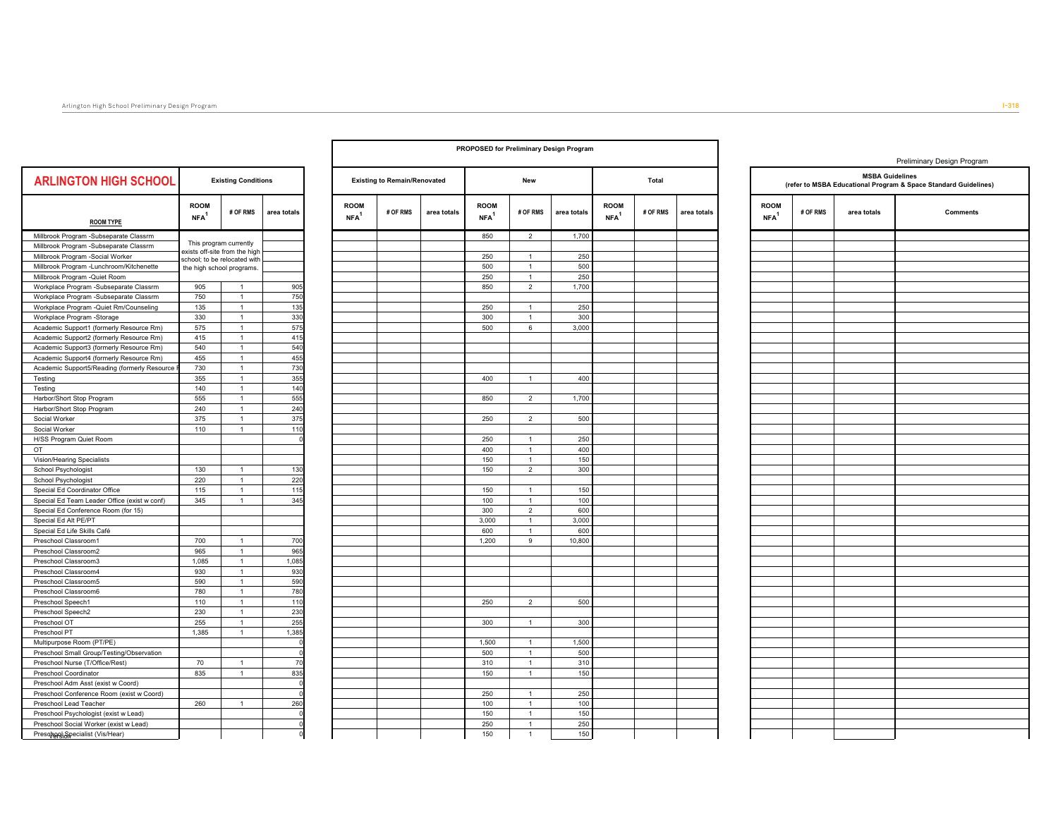|                                              |                                 |                                                           |             |                                 |                                     |             |                                 |                              | PROPOSED for Preliminary Design Program |                                   |          |             |
|----------------------------------------------|---------------------------------|-----------------------------------------------------------|-------------|---------------------------------|-------------------------------------|-------------|---------------------------------|------------------------------|-----------------------------------------|-----------------------------------|----------|-------------|
| <b>ARLINGTON HIGH SCHOOL</b>                 |                                 | <b>Existing Conditions</b>                                |             |                                 | <b>Existing to Remain/Renovated</b> |             |                                 | New                          |                                         |                                   | Total    |             |
| <b>ROOM TYPE</b>                             | <b>ROOM</b><br>NFA <sup>1</sup> | # OF RMS                                                  | area totals | <b>ROOM</b><br>NFA <sup>1</sup> | # OF RMS                            | area totals | <b>ROOM</b><br>NFA <sup>1</sup> | # OF RMS                     | area totals                             | <b>ROOM</b><br>$NFA$ <sup>1</sup> | # OF RMS | area totals |
| Millbrook Program -Subseparate Classrm       |                                 |                                                           |             |                                 |                                     |             | 850                             | $\overline{2}$               | 1,700                                   |                                   |          |             |
| Millbrook Program -Subseparate Classrm       |                                 | This program currently                                    |             |                                 |                                     |             |                                 |                              |                                         |                                   |          |             |
| Millbrook Program -Social Worker             |                                 | exists off-site from the high                             |             |                                 |                                     |             | 250                             | $\mathbf{1}$                 | 250                                     |                                   |          |             |
| Millbrook Program -Lunchroom/Kitchenette     |                                 | school; to be relocated with<br>the high school programs. |             |                                 |                                     |             | 500                             | $\mathbf{1}$                 | 500                                     |                                   |          |             |
| Millbrook Program -Quiet Room                |                                 |                                                           |             |                                 |                                     |             | 250                             | $\mathbf{1}$                 | 250                                     |                                   |          |             |
| Workplace Program -Subseparate Classrm       | 905                             | $\mathbf{1}$                                              | 905         |                                 |                                     |             | 850                             | $\overline{2}$               | 1,700                                   |                                   |          |             |
|                                              | 750                             | $\mathbf{1}$                                              | 750         |                                 |                                     |             |                                 |                              |                                         |                                   |          |             |
| Workplace Program -Subseparate Classrm       |                                 |                                                           |             |                                 |                                     |             |                                 |                              | 250                                     |                                   |          |             |
| Workplace Program -Quiet Rm/Counseling       | 135                             | $\mathbf{1}$                                              | 135         |                                 |                                     |             | 250                             | $\mathbf{1}$                 |                                         |                                   |          |             |
| Workplace Program -Storage                   | 330                             | $\mathbf{1}$                                              | 330         |                                 |                                     |             | 300                             | $\mathbf{1}$                 | 300                                     |                                   |          |             |
| Academic Support1 (formerly Resource Rm)     | 575                             | $\overline{1}$                                            | 575         |                                 |                                     |             | 500                             | 6                            | 3,000                                   |                                   |          |             |
| Academic Support2 (formerly Resource Rm)     | 415                             | $\mathbf{1}$                                              | 415         |                                 |                                     |             |                                 |                              |                                         |                                   |          |             |
| Academic Support3 (formerly Resource Rm)     | 540                             | $\overline{1}$                                            | 540         |                                 |                                     |             |                                 |                              |                                         |                                   |          |             |
| Academic Support4 (formerly Resource Rm)     | 455                             | $\mathbf{1}$                                              | 455         |                                 |                                     |             |                                 |                              |                                         |                                   |          |             |
| Academic Support5/Reading (formerly Resource | 730                             | $\overline{1}$                                            | 730         |                                 |                                     |             |                                 |                              |                                         |                                   |          |             |
| Testing                                      | 355                             | $\mathbf{1}$                                              | 355         |                                 |                                     |             | 400                             | $\mathbf{1}$                 | 400                                     |                                   |          |             |
| Testing                                      | 140                             | $\mathbf{1}$                                              | 140         |                                 |                                     |             |                                 |                              |                                         |                                   |          |             |
| Harbor/Short Stop Program                    | 555                             | $\mathbf{1}$                                              | 555         |                                 |                                     |             | 850                             | $\sqrt{2}$                   | 1,700                                   |                                   |          |             |
| Harbor/Short Stop Program                    | 240                             | $\mathbf{1}$                                              | 240         |                                 |                                     |             |                                 |                              |                                         |                                   |          |             |
| Social Worker                                | 375                             | $\mathbf{1}$                                              | 375         |                                 |                                     |             | 250                             | $\overline{2}$               | 500                                     |                                   |          |             |
| Social Worker                                | 110                             | $\mathbf{1}$                                              | 110         |                                 |                                     |             |                                 |                              |                                         |                                   |          |             |
| H/SS Program Quiet Room                      |                                 |                                                           |             |                                 |                                     |             | 250                             | $\overline{1}$               | 250                                     |                                   |          |             |
| OT                                           |                                 |                                                           |             |                                 |                                     |             | 400                             | $\mathbf{1}$                 | 400                                     |                                   |          |             |
| Vision/Hearing Specialists                   |                                 |                                                           |             |                                 |                                     |             | 150                             | $\mathbf{1}$                 | 150                                     |                                   |          |             |
| School Psychologist                          | 130                             | $\mathbf{1}$                                              | 130         |                                 |                                     |             | 150                             | $\overline{2}$               | 300                                     |                                   |          |             |
| School Psychologist                          | 220                             | $\overline{1}$                                            | 220         |                                 |                                     |             |                                 |                              |                                         |                                   |          |             |
| Special Ed Coordinator Office                | 115                             | $\mathbf{1}$                                              | 115         |                                 |                                     |             | 150                             | $\mathbf{1}$                 | 150                                     |                                   |          |             |
| Special Ed Team Leader Office (exist w conf) | 345                             | $\mathbf{1}$                                              | 345         |                                 |                                     |             | 100                             | $\mathbf{1}$                 | 100                                     |                                   |          |             |
| Special Ed Conference Room (for 15)          |                                 |                                                           |             |                                 |                                     |             | 300                             | $\overline{2}$               | 600                                     |                                   |          |             |
|                                              |                                 |                                                           |             |                                 |                                     |             |                                 |                              |                                         |                                   |          |             |
| Special Ed Alt PE/PT                         |                                 |                                                           |             |                                 |                                     |             | 3,000                           | $\mathbf{1}$<br>$\mathbf{1}$ | 3,000                                   |                                   |          |             |
| Special Ed Life Skills Café                  |                                 |                                                           |             |                                 |                                     |             | 600                             |                              | 600                                     |                                   |          |             |
| Preschool Classroom1                         | 700                             | $\mathbf{1}$                                              | 700         |                                 |                                     |             | 1,200                           | 9                            | 10,800                                  |                                   |          |             |
| Preschool Classroom2                         | 965                             | $\overline{1}$                                            | 965         |                                 |                                     |             |                                 |                              |                                         |                                   |          |             |
| Preschool Classroom3                         | 1,085                           | $\mathbf{1}$                                              | 1,085       |                                 |                                     |             |                                 |                              |                                         |                                   |          |             |
| Preschool Classroom4                         | 930                             | $\mathbf{1}$                                              | 930         |                                 |                                     |             |                                 |                              |                                         |                                   |          |             |
| Preschool Classroom5                         | 590                             | $\mathbf{1}$                                              | 590         |                                 |                                     |             |                                 |                              |                                         |                                   |          |             |
| Preschool Classroom6                         | 780                             | $\overline{1}$                                            | 780         |                                 |                                     |             |                                 |                              |                                         |                                   |          |             |
| Preschool Speech1                            | 110                             | $\mathbf{1}$                                              | 110         |                                 |                                     |             | 250                             | $\overline{2}$               | 500                                     |                                   |          |             |
| Preschool Speech2                            | 230                             | $\mathbf{1}$                                              | 230         |                                 |                                     |             |                                 |                              |                                         |                                   |          |             |
| Preschool OT                                 | 255                             | $\overline{1}$                                            | 255         |                                 |                                     |             | 300                             | $\mathbf{1}$                 | 300                                     |                                   |          |             |
| Preschool PT                                 | 1,385                           | $\overline{1}$                                            | 1,385       |                                 |                                     |             |                                 |                              |                                         |                                   |          |             |
| Multipurpose Room (PT/PE)                    |                                 |                                                           |             |                                 |                                     |             | 1,500                           | $\mathbf{1}$                 | 1,500                                   |                                   |          |             |
| Preschool Small Group/Testing/Observation    |                                 |                                                           |             |                                 |                                     |             | 500                             | $\mathbf{1}$                 | 500                                     |                                   |          |             |
| Preschool Nurse (T/Office/Rest)              | 70                              | $\mathbf{1}$                                              | 70          |                                 |                                     |             | 310                             | $\mathbf{1}$                 | 310                                     |                                   |          |             |
| Preschool Coordinator                        | 835                             | $\mathbf{1}$                                              | 835         |                                 |                                     |             | 150                             | $\mathbf{1}$                 | 150                                     |                                   |          |             |
| Preschool Adm Asst (exist w Coord)           |                                 |                                                           |             |                                 |                                     |             |                                 |                              |                                         |                                   |          |             |
| Preschool Conference Room (exist w Coord)    |                                 |                                                           |             |                                 |                                     |             | 250                             | $\overline{1}$               | 250                                     |                                   |          |             |
| Preschool Lead Teacher                       | 260                             | $\mathbf{1}$                                              | 260         |                                 |                                     |             | 100                             | $\overline{1}$               | 100                                     |                                   |          |             |
| Preschool Psychologist (exist w Lead)        |                                 |                                                           |             |                                 |                                     |             | 150                             | $\mathbf{1}$                 | 150                                     |                                   |          |             |
|                                              |                                 |                                                           |             |                                 |                                     |             |                                 | $\overline{1}$               | 250                                     |                                   |          |             |
| Preschool Social Worker (exist w Lead)       |                                 |                                                           |             |                                 |                                     |             | 250                             |                              |                                         |                                   |          |             |
| Preschool Specialist (Vis/Hear)              |                                 |                                                           | $\Omega$    |                                 |                                     |             | 150                             | $\mathbf{1}$                 | 150                                     |                                   |          |             |

 $\Gamma$ 

|                         | r Preliminary Design Program |                                 |          |             |                                 |                     |  |
|-------------------------|------------------------------|---------------------------------|----------|-------------|---------------------------------|---------------------|--|
| New                     |                              |                                 | Total    |             |                                 | (refer to MSBA Eduo |  |
| # OF RMS                | area totals                  | <b>ROOM</b><br>NFA <sup>1</sup> | # OF RMS | area totals | <b>ROOM</b><br>NFA <sup>1</sup> | # OF RMS            |  |
| $\overline{c}$          | 1,700                        |                                 |          |             |                                 |                     |  |
|                         |                              |                                 |          |             |                                 |                     |  |
| 1                       | 250                          |                                 |          |             |                                 |                     |  |
| $\mathbf{1}$            | 500                          |                                 |          |             |                                 |                     |  |
| $\mathbf{1}$            | 250                          |                                 |          |             |                                 |                     |  |
| $\mathbf 2$             | 1,700                        |                                 |          |             |                                 |                     |  |
|                         |                              |                                 |          |             |                                 |                     |  |
| $\mathbf{1}$            | 250                          |                                 |          |             |                                 |                     |  |
| 1                       | 300                          |                                 |          |             |                                 |                     |  |
| 6                       | 3,000                        |                                 |          |             |                                 |                     |  |
|                         |                              |                                 |          |             |                                 |                     |  |
|                         |                              |                                 |          |             |                                 |                     |  |
|                         |                              |                                 |          |             |                                 |                     |  |
|                         |                              |                                 |          |             |                                 |                     |  |
| $\mathbf{1}$            | 400                          |                                 |          |             |                                 |                     |  |
|                         |                              |                                 |          |             |                                 |                     |  |
| $\mathbf 2$             | 1,700                        |                                 |          |             |                                 |                     |  |
|                         |                              |                                 |          |             |                                 |                     |  |
| $\overline{\mathbf{c}}$ | 500                          |                                 |          |             |                                 |                     |  |
|                         |                              |                                 |          |             |                                 |                     |  |
| $\mathbf{1}$            | 250                          |                                 |          |             |                                 |                     |  |
| $\mathbf{1}$            | 400                          |                                 |          |             |                                 |                     |  |
| 1                       | 150                          |                                 |          |             |                                 |                     |  |
| $\overline{\mathbf{c}}$ | 300                          |                                 |          |             |                                 |                     |  |
|                         |                              |                                 |          |             |                                 |                     |  |
| $\mathbf{1}$            | 150                          |                                 |          |             |                                 |                     |  |
| $\mathbf{1}$            | 100                          |                                 |          |             |                                 |                     |  |
| $\overline{\mathbf{c}}$ | 600                          |                                 |          |             |                                 |                     |  |
| 1                       | 3,000                        |                                 |          |             |                                 |                     |  |
| $\mathbf{1}$            | 600                          |                                 |          |             |                                 |                     |  |
| 9                       | 10,800                       |                                 |          |             |                                 |                     |  |
|                         |                              |                                 |          |             |                                 |                     |  |
|                         |                              |                                 |          |             |                                 |                     |  |
|                         |                              |                                 |          |             |                                 |                     |  |
|                         |                              |                                 |          |             |                                 |                     |  |
|                         |                              |                                 |          |             |                                 |                     |  |
| $\overline{c}$          | 500                          |                                 |          |             |                                 |                     |  |
|                         |                              |                                 |          |             |                                 |                     |  |
| $\mathbf{1}$            | 300                          |                                 |          |             |                                 |                     |  |
|                         |                              |                                 |          |             |                                 |                     |  |
| $\mathbf{1}$            | 1,500                        |                                 |          |             |                                 |                     |  |

|                        |          |                        | Preliminary Design Program                                      |
|------------------------|----------|------------------------|-----------------------------------------------------------------|
|                        |          | <b>MSBA Guidelines</b> | (refer to MSBA Educational Program & Space Standard Guidelines) |
| <b>ROOM</b><br>$NFA^1$ | # OF RMS | area totals            | <b>Comments</b>                                                 |
|                        |          |                        |                                                                 |
|                        |          |                        |                                                                 |
|                        |          |                        |                                                                 |
|                        |          |                        |                                                                 |
|                        |          |                        |                                                                 |
|                        |          |                        |                                                                 |
|                        |          |                        |                                                                 |
|                        |          |                        |                                                                 |
|                        |          |                        |                                                                 |
|                        |          |                        |                                                                 |
|                        |          |                        |                                                                 |
|                        |          |                        |                                                                 |
|                        |          |                        |                                                                 |
|                        |          |                        |                                                                 |
|                        |          |                        |                                                                 |
|                        |          |                        |                                                                 |
|                        |          |                        |                                                                 |
|                        |          |                        |                                                                 |
|                        |          |                        |                                                                 |
|                        |          |                        |                                                                 |
|                        |          |                        |                                                                 |
|                        |          |                        |                                                                 |
|                        |          |                        |                                                                 |
|                        |          |                        |                                                                 |
|                        |          |                        |                                                                 |
|                        |          |                        |                                                                 |
|                        |          |                        |                                                                 |
|                        |          |                        |                                                                 |
|                        |          |                        |                                                                 |
|                        |          |                        |                                                                 |
|                        |          |                        |                                                                 |
|                        |          |                        |                                                                 |
|                        |          |                        |                                                                 |
|                        |          |                        |                                                                 |
|                        |          |                        |                                                                 |
|                        |          |                        |                                                                 |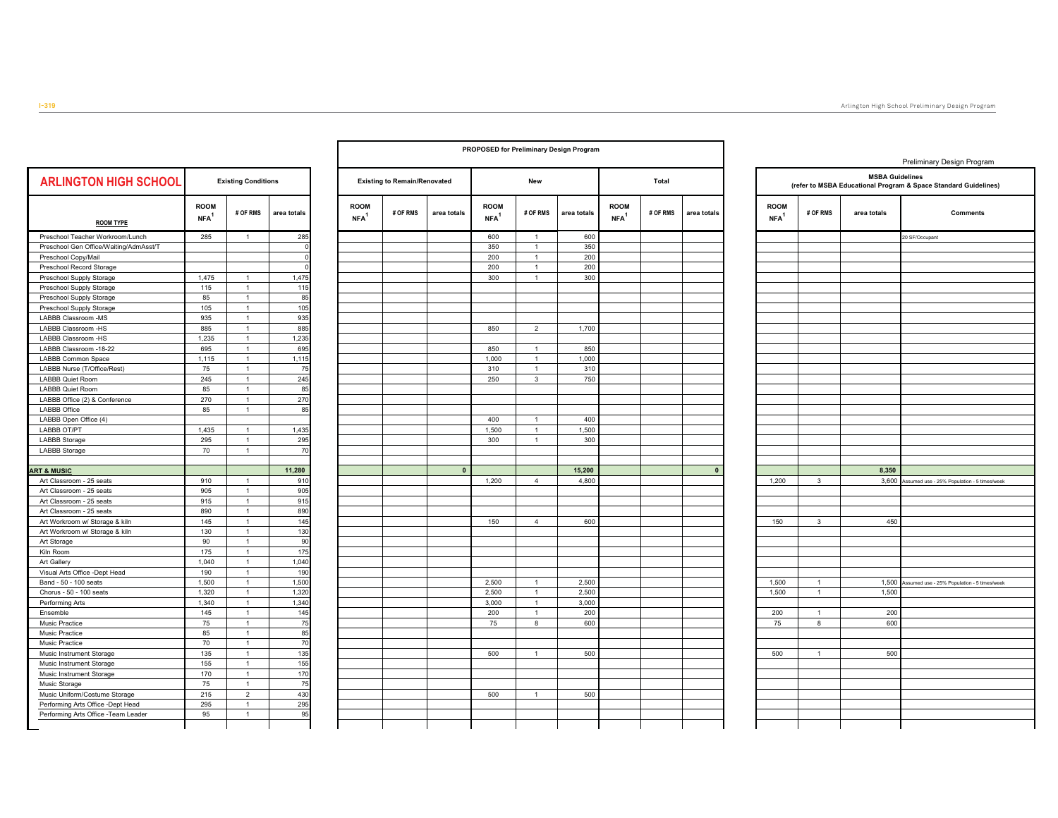|                                        |                                 |                            |             |                                   |                                     |              | <b>PROPOSED for Preliminary Design Program</b> |                |             |                                   |          |              |                                 |                |                                                            | Pr  |
|----------------------------------------|---------------------------------|----------------------------|-------------|-----------------------------------|-------------------------------------|--------------|------------------------------------------------|----------------|-------------|-----------------------------------|----------|--------------|---------------------------------|----------------|------------------------------------------------------------|-----|
| <b>ARLINGTON HIGH SCHOOL</b>           |                                 | <b>Existing Conditions</b> |             |                                   | <b>Existing to Remain/Renovated</b> |              |                                                | New            |             |                                   | Total    |              |                                 |                | <b>MSBA Guidel</b><br>(refer to MSBA Educational Program 8 |     |
| <b>ROOM TYPE</b>                       | <b>ROOM</b><br>NFA <sup>1</sup> | # OF RMS                   | area totals | <b>ROOM</b><br>$NFA$ <sup>1</sup> | # OF RMS                            | area totals  | <b>ROOM</b><br>$NFA$ <sup>1</sup>              | # OF RMS       | area totals | <b>ROOM</b><br>$NFA$ <sup>1</sup> | # OF RMS | area totals  | <b>ROOM</b><br>NFA <sup>1</sup> | # OF RMS       | area totals                                                |     |
| Preschool Teacher Workroom/Lunch       | 285                             | $\mathbf{1}$               | 285         |                                   |                                     |              | 600                                            | $\overline{1}$ | 600         |                                   |          |              |                                 |                |                                                            | 20: |
| Preschool Gen Office/Waiting/AdmAsst/T |                                 |                            |             |                                   |                                     |              | 350                                            | $\mathbf{1}$   | 350         |                                   |          |              |                                 |                |                                                            |     |
| Preschool Copy/Mail                    |                                 |                            |             |                                   |                                     |              | 200                                            | $\overline{1}$ | 200         |                                   |          |              |                                 |                |                                                            |     |
| Preschool Record Storage               |                                 |                            |             |                                   |                                     |              | 200                                            | $\mathbf{1}$   | 200         |                                   |          |              |                                 |                |                                                            |     |
| Preschool Supply Storage               | 1,475                           | $\mathbf{1}$               | 1,475       |                                   |                                     |              | 300                                            | $\mathbf{1}$   | 300         |                                   |          |              |                                 |                |                                                            |     |
| Preschool Supply Storage               | 115                             | $\mathbf{1}$               | 115         |                                   |                                     |              |                                                |                |             |                                   |          |              |                                 |                |                                                            |     |
| Preschool Supply Storage               | 85                              | $\mathbf{1}$               | 85          |                                   |                                     |              |                                                |                |             |                                   |          |              |                                 |                |                                                            |     |
| Preschool Supply Storage               | 105                             | $\mathbf{1}$               | 105         |                                   |                                     |              |                                                |                |             |                                   |          |              |                                 |                |                                                            |     |
| LABBB Classroom -MS                    | 935                             | $\mathbf{1}$               | 935         |                                   |                                     |              |                                                |                |             |                                   |          |              |                                 |                |                                                            |     |
| LABBB Classroom -HS                    | 885                             | $\mathbf{1}$               | 885         |                                   |                                     |              | 850                                            | $\overline{2}$ | 1,700       |                                   |          |              |                                 |                |                                                            |     |
| LABBB Classroom -HS                    | 1,235                           | $\mathbf{1}$               | 1,235       |                                   |                                     |              |                                                |                |             |                                   |          |              |                                 |                |                                                            |     |
| LABBB Classroom -18-22                 | 695                             | $\mathbf{1}$               | 695         |                                   |                                     |              | 850                                            | $\mathbf{1}$   | 850         |                                   |          |              |                                 |                |                                                            |     |
| <b>LABBB Common Space</b>              | 1,115                           | $\mathbf{1}$               | 1,115       |                                   |                                     |              | 1,000                                          | $\mathbf{1}$   | 1,000       |                                   |          |              |                                 |                |                                                            |     |
| LABBB Nurse (T/Office/Rest)            | 75                              | $\mathbf{1}$               | 75          |                                   |                                     |              | 310                                            | $\overline{1}$ | 310         |                                   |          |              |                                 |                |                                                            |     |
| LABBB Quiet Room                       | 245                             | $\mathbf{1}$               | 245         |                                   |                                     |              | 250                                            | $\mathbf{3}$   | 750         |                                   |          |              |                                 |                |                                                            |     |
| <b>LABBB Quiet Room</b>                | 85                              | $\mathbf{1}$               | 85          |                                   |                                     |              |                                                |                |             |                                   |          |              |                                 |                |                                                            |     |
| LABBB Office (2) & Conference          | 270                             | $\mathbf{1}$               | 270         |                                   |                                     |              |                                                |                |             |                                   |          |              |                                 |                |                                                            |     |
| <b>LABBB Office</b>                    | 85                              | $\mathbf{1}$               | 85          |                                   |                                     |              |                                                |                |             |                                   |          |              |                                 |                |                                                            |     |
| LABBB Open Office (4)                  |                                 |                            |             |                                   |                                     |              | 400                                            | $\overline{1}$ | 400         |                                   |          |              |                                 |                |                                                            |     |
| LABBB OT/PT                            | 1,435                           | $\mathbf{1}$               | 1,435       |                                   |                                     |              | 1,500                                          | $\mathbf{1}$   | 1,500       |                                   |          |              |                                 |                |                                                            |     |
| <b>LABBB Storage</b>                   | 295                             | $\mathbf{1}$               | 295         |                                   |                                     |              | 300                                            | $\mathbf{1}$   | 300         |                                   |          |              |                                 |                |                                                            |     |
| <b>LABBB Storage</b>                   | 70                              | $\mathbf{1}$               | 70          |                                   |                                     |              |                                                |                |             |                                   |          |              |                                 |                |                                                            |     |
| <b>ART &amp; MUSIC</b>                 |                                 |                            | 11,280      |                                   |                                     | $\mathbf{0}$ |                                                |                | 15,200      |                                   |          | $\mathbf{0}$ |                                 |                | 8,350                                                      |     |
| Art Classroom - 25 seats               | 910                             | $\mathbf{1}$               | 910         |                                   |                                     |              | 1,200                                          | $\overline{4}$ | 4,800       |                                   |          |              | 1,200                           | $\mathbf{3}$   | 3,600                                                      |     |
| Art Classroom - 25 seats               | 905                             | $\mathbf{1}$               | 905         |                                   |                                     |              |                                                |                |             |                                   |          |              |                                 |                |                                                            |     |
| Art Classroom - 25 seats               | 915                             | $\mathbf{1}$               | 915         |                                   |                                     |              |                                                |                |             |                                   |          |              |                                 |                |                                                            |     |
| Art Classroom - 25 seats               | 890                             | $\mathbf{1}$               | 890         |                                   |                                     |              |                                                |                |             |                                   |          |              |                                 |                |                                                            |     |
| Art Workroom w/ Storage & kiln         | 145                             | $\mathbf{1}$               | 145         |                                   |                                     |              | 150                                            | $\overline{4}$ | 600         |                                   |          |              | 150                             | $\mathbf{3}$   |                                                            | 450 |
| Art Workroom w/ Storage & kiln         | 130                             | $\mathbf{1}$               | 130         |                                   |                                     |              |                                                |                |             |                                   |          |              |                                 |                |                                                            |     |
| Art Storage                            | 90                              | $\mathbf{1}$               | 90          |                                   |                                     |              |                                                |                |             |                                   |          |              |                                 |                |                                                            |     |
| Kiln Room                              | 175                             | $\mathbf{1}$               | 175         |                                   |                                     |              |                                                |                |             |                                   |          |              |                                 |                |                                                            |     |
| Art Gallery                            | 1,040                           | $\mathbf{1}$               | 1,040       |                                   |                                     |              |                                                |                |             |                                   |          |              |                                 |                |                                                            |     |
| Visual Arts Office -Dept Head          | 190                             | $\mathbf{1}$               | 190         |                                   |                                     |              |                                                |                |             |                                   |          |              |                                 |                |                                                            |     |
| Band - 50 - 100 seats                  | 1,500                           | $\mathbf{1}$               | 1,500       |                                   |                                     |              | 2,500                                          | $\mathbf{1}$   | 2,500       |                                   |          |              | 1,500                           | $\mathbf{1}$   | 1,500                                                      |     |
| Chorus - 50 - 100 seats                | 1,320                           | $\mathbf{1}$               | 1,320       |                                   |                                     |              | 2,500                                          | $\mathbf{1}$   | 2,500       |                                   |          |              | 1,500                           | $\mathbf{1}$   | 1,500                                                      |     |
| Performing Arts                        | 1,340                           | $\mathbf{1}$               | 1,340       |                                   |                                     |              | 3,000                                          | $\mathbf{1}$   | 3,000       |                                   |          |              |                                 |                |                                                            |     |
| Ensemble                               | 145                             | $\mathbf{1}$               | 145         |                                   |                                     |              | 200                                            | $\mathbf{1}$   | 200         |                                   |          |              | 200                             | $\overline{1}$ |                                                            | 200 |
| Music Practice                         | 75                              | $\mathbf{1}$               | 75          |                                   |                                     |              | 75                                             | 8              | 600         |                                   |          |              | 75                              | 8              |                                                            | 600 |
| Music Practice                         | 85                              | $\mathbf{1}$               | 85          |                                   |                                     |              |                                                |                |             |                                   |          |              |                                 |                |                                                            |     |
| Music Practice                         | 70                              | $\mathbf{1}$               | 70          |                                   |                                     |              |                                                |                |             |                                   |          |              |                                 |                |                                                            |     |
| Music Instrument Storage               | 135                             | $\mathbf{1}$               | 135         |                                   |                                     |              | 500                                            | $\overline{1}$ | 500         |                                   |          |              | 500                             | $\mathbf{1}$   |                                                            | 500 |
| Music Instrument Storage               | 155                             | $\mathbf{1}$               | 155         |                                   |                                     |              |                                                |                |             |                                   |          |              |                                 |                |                                                            |     |
| Music Instrument Storage               | 170                             | $\mathbf{1}$               | 170         |                                   |                                     |              |                                                |                |             |                                   |          |              |                                 |                |                                                            |     |
| Music Storage                          | 75                              | $\mathbf{1}$               | 75          |                                   |                                     |              |                                                |                |             |                                   |          |              |                                 |                |                                                            |     |
| Music Uniform/Costume Storage          | 215                             | $\overline{2}$             | 430         |                                   |                                     |              | 500                                            | $\mathbf{1}$   | 500         |                                   |          |              |                                 |                |                                                            |     |
| Performing Arts Office -Dept Head      | 295                             | $\mathbf{1}$               | 295         |                                   |                                     |              |                                                |                |             |                                   |          |              |                                 |                |                                                            |     |
| Performing Arts Office -Team Leader    | 95                              | $\mathbf{1}$               | 95          |                                   |                                     |              |                                                |                |             |                                   |          |              |                                 |                |                                                            |     |

|                        | <b>Existing to Remain/Renovated</b> |             |                                   | New                          |             |                                   | <b>Total</b> |             |
|------------------------|-------------------------------------|-------------|-----------------------------------|------------------------------|-------------|-----------------------------------|--------------|-------------|
| <b>ROOM</b><br>$NFA^1$ | # OF RMS                            | area totals | <b>ROOM</b><br>$NFA$ <sup>1</sup> | # OF RMS                     | area totals | <b>ROOM</b><br>$NFA$ <sup>1</sup> | # OF RMS     | area totals |
|                        |                                     |             | 600                               | 1                            | 600         |                                   |              |             |
|                        |                                     |             | 350                               | $\mathbf{1}$                 | 350         |                                   |              |             |
|                        |                                     |             | 200                               | $\mathbf{1}$                 | 200         |                                   |              |             |
|                        |                                     |             | 200                               | $\mathbf{1}$                 | 200         |                                   |              |             |
|                        |                                     |             | 300                               | 1                            | 300         |                                   |              |             |
|                        |                                     |             |                                   |                              |             |                                   |              |             |
|                        |                                     |             | 850                               | $\sqrt{2}$                   | 1,700       |                                   |              |             |
|                        |                                     |             | 850                               | $\mathbf{1}$                 | 850         |                                   |              |             |
|                        |                                     |             | 1,000                             | $\mathbf{1}$                 | 1,000       |                                   |              |             |
|                        |                                     |             | 310                               | $\mathbf{1}$                 | 310         |                                   |              |             |
|                        |                                     |             | 250                               | 3                            | 750         |                                   |              |             |
|                        |                                     |             |                                   |                              |             |                                   |              |             |
|                        |                                     |             |                                   |                              |             |                                   |              |             |
|                        |                                     |             |                                   |                              |             |                                   |              |             |
|                        |                                     |             | 400                               | $\mathbf{1}$                 | 400         |                                   |              |             |
|                        |                                     |             | 1,500                             | $\mathbf{1}$                 | 1,500       |                                   |              |             |
|                        |                                     |             | 300                               | $\mathbf{1}$                 | 300         |                                   |              |             |
|                        |                                     |             |                                   |                              |             |                                   |              |             |
|                        |                                     | $\pmb{0}$   |                                   |                              | 15,200      |                                   |              | $\pmb{0}$   |
|                        |                                     |             | 1,200                             | $\overline{4}$               | 4,800       |                                   |              |             |
|                        |                                     |             |                                   |                              |             |                                   |              |             |
|                        |                                     |             |                                   |                              |             |                                   |              |             |
|                        |                                     |             |                                   |                              |             |                                   |              |             |
|                        |                                     |             | 150                               | $\sqrt{4}$                   | 600         |                                   |              |             |
|                        |                                     |             |                                   |                              |             |                                   |              |             |
|                        |                                     |             |                                   |                              |             |                                   |              |             |
|                        |                                     |             |                                   |                              |             |                                   |              |             |
|                        |                                     |             |                                   |                              |             |                                   |              |             |
|                        |                                     |             |                                   |                              |             |                                   |              |             |
|                        |                                     |             | 2,500                             | $\mathbf{1}$                 | 2,500       |                                   |              |             |
|                        |                                     |             | 2,500                             | $\mathbf{1}$<br>$\mathbf{1}$ | 2,500       |                                   |              |             |
|                        |                                     |             | 3,000                             |                              | 3,000       |                                   |              |             |
|                        |                                     |             | 200<br>${\bf 75}$                 | $\mathbf{1}$<br>8            | 200<br>600  |                                   |              |             |
|                        |                                     |             |                                   |                              |             |                                   |              |             |
|                        |                                     |             |                                   |                              |             |                                   |              |             |
|                        |                                     |             | 500                               | $\mathbf{1}$                 | 500         |                                   |              |             |
|                        |                                     |             |                                   |                              |             |                                   |              |             |
|                        |                                     |             |                                   |                              |             |                                   |              |             |
|                        |                                     |             |                                   |                              |             |                                   |              |             |
|                        |                                     |             |                                   |                              |             |                                   |              |             |

|                                   |                   | <b>MSBA Guidelines</b> | Preliminary Design Program<br>(refer to MSBA Educational Program & Space Standard Guidelines) |
|-----------------------------------|-------------------|------------------------|-----------------------------------------------------------------------------------------------|
| <b>ROOM</b><br>$NFA$ <sup>1</sup> | # OF RMS          | area totals            | <b>Comments</b>                                                                               |
|                                   |                   |                        | 20 SF/Occupant                                                                                |
|                                   |                   |                        |                                                                                               |
|                                   |                   |                        |                                                                                               |
|                                   |                   |                        |                                                                                               |
|                                   |                   |                        |                                                                                               |
|                                   |                   |                        |                                                                                               |
|                                   |                   |                        |                                                                                               |
|                                   |                   |                        |                                                                                               |
|                                   |                   |                        |                                                                                               |
|                                   |                   |                        |                                                                                               |
|                                   |                   |                        |                                                                                               |
|                                   |                   |                        |                                                                                               |
|                                   |                   |                        |                                                                                               |
|                                   |                   |                        |                                                                                               |
|                                   |                   |                        |                                                                                               |
|                                   |                   |                        |                                                                                               |
|                                   |                   |                        |                                                                                               |
|                                   |                   |                        |                                                                                               |
|                                   |                   |                        |                                                                                               |
|                                   |                   | 8,350                  |                                                                                               |
| 1,200                             | 3                 | 3,600                  | Assumed use - 25% Population - 5 times/week                                                   |
|                                   |                   |                        |                                                                                               |
|                                   |                   |                        |                                                                                               |
|                                   |                   |                        |                                                                                               |
| 150                               | 3                 | 450                    |                                                                                               |
|                                   |                   |                        |                                                                                               |
|                                   |                   |                        |                                                                                               |
|                                   |                   |                        |                                                                                               |
|                                   |                   |                        |                                                                                               |
| 1,500<br>1,500                    | 1<br>$\mathbf{1}$ | 1,500<br>1,500         | Assumed use - 25% Population - 5 times/week                                                   |
|                                   |                   |                        |                                                                                               |
| 200                               | 1                 | 200                    |                                                                                               |
| 75                                | 8                 | 600                    |                                                                                               |
|                                   |                   |                        |                                                                                               |
|                                   |                   |                        |                                                                                               |
| 500                               | 1                 | 500                    |                                                                                               |
|                                   |                   |                        |                                                                                               |
|                                   |                   |                        |                                                                                               |
|                                   |                   |                        |                                                                                               |
|                                   |                   |                        |                                                                                               |
|                                   |                   |                        |                                                                                               |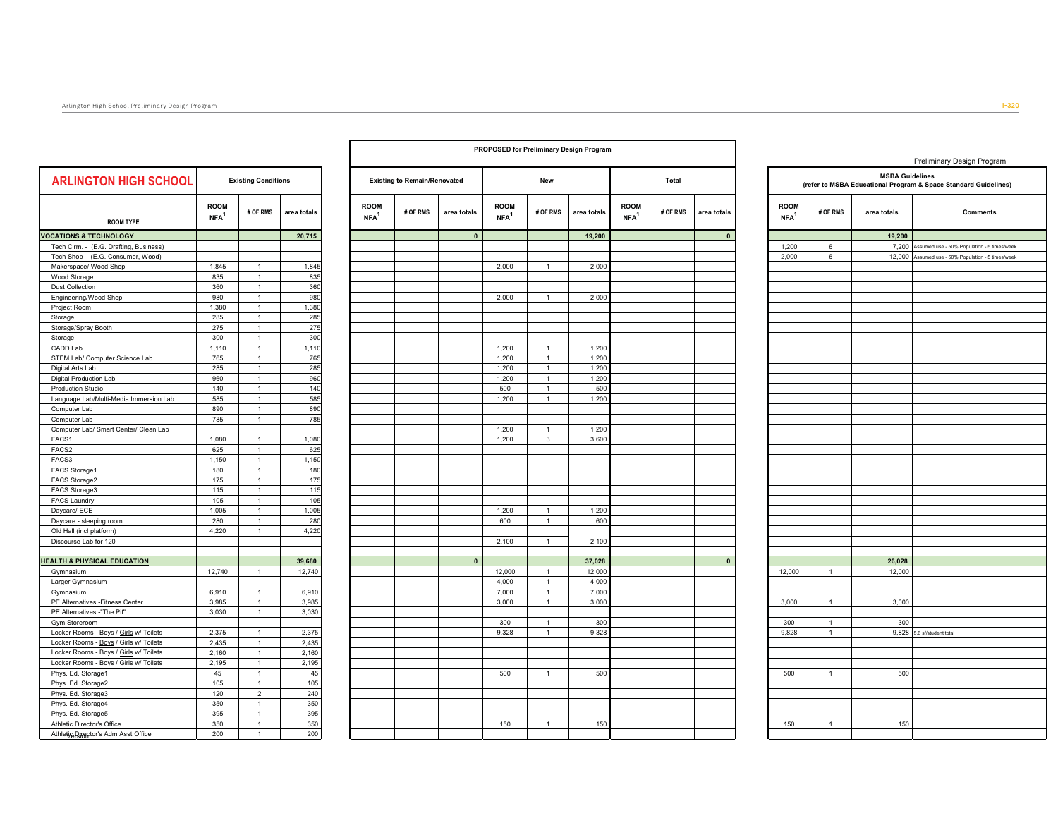|                                        |                                 |                              |              |                                 |                                     |              |                                 |                | PROPOSED for Preliminary Design Program |                                 |          |              |                                 |                |                        | Preliminary Design Program                                      |
|----------------------------------------|---------------------------------|------------------------------|--------------|---------------------------------|-------------------------------------|--------------|---------------------------------|----------------|-----------------------------------------|---------------------------------|----------|--------------|---------------------------------|----------------|------------------------|-----------------------------------------------------------------|
| <b>ARLINGTON HIGH SCHOOL</b>           |                                 | <b>Existing Conditions</b>   |              |                                 | <b>Existing to Remain/Renovated</b> |              |                                 | New            |                                         |                                 | Total    |              |                                 |                | <b>MSBA Guidelines</b> | (refer to MSBA Educational Program & Space Standard Guidelines) |
| <b>ROOM TYPE</b>                       | <b>ROOM</b><br>NFA <sup>1</sup> | # OF RMS                     | area totals  | <b>ROOM</b><br>NFA <sup>1</sup> | # OF RMS                            | area totals  | <b>ROOM</b><br>NFA <sup>1</sup> | # OF RMS       | area totals                             | <b>ROOM</b><br>NFA <sup>1</sup> | # OF RMS | area totals  | <b>ROOM</b><br>NFA <sup>1</sup> | # OF RMS       | area totals            | <b>Comments</b>                                                 |
| <b>VOCATIONS &amp; TECHNOLOGY</b>      |                                 |                              | 20,715       |                                 |                                     | $\mathbf{0}$ |                                 |                | 19,200                                  |                                 |          | $\mathbf{0}$ |                                 |                | 19,200                 |                                                                 |
| Tech Clrm. - (E.G. Drafting, Business) |                                 |                              |              |                                 |                                     |              |                                 |                |                                         |                                 |          |              | 1,200                           | 6              | 7,200                  | Assumed use - 50% Population - 5 times/week                     |
| Tech Shop - (E.G. Consumer, Wood)      |                                 |                              |              |                                 |                                     |              |                                 |                |                                         |                                 |          |              | 2,000                           | 6              | 12,000                 | sumed use - 50% Population - 5 times/week                       |
| Makerspace/ Wood Shop                  | 1,845                           | $\overline{1}$               | 1,845        |                                 |                                     |              | 2,000                           | $\mathbf{1}$   | 2,000                                   |                                 |          |              |                                 |                |                        |                                                                 |
| Wood Storage                           | 835                             | $\mathbf{1}$                 | 835          |                                 |                                     |              |                                 |                |                                         |                                 |          |              |                                 |                |                        |                                                                 |
| <b>Dust Collection</b>                 | 360                             | $\mathbf{1}$                 | 360          |                                 |                                     |              |                                 |                |                                         |                                 |          |              |                                 |                |                        |                                                                 |
| Engineering/Wood Shop                  | 980                             | $\mathbf{1}$                 | 980          |                                 |                                     |              | 2,000                           | $\overline{1}$ | 2,000                                   |                                 |          |              |                                 |                |                        |                                                                 |
| Project Room                           | 1,380                           | $\overline{1}$               | 1,380        |                                 |                                     |              |                                 |                |                                         |                                 |          |              |                                 |                |                        |                                                                 |
| Storage                                | 285                             | $\mathbf{1}$                 | 285          |                                 |                                     |              |                                 |                |                                         |                                 |          |              |                                 |                |                        |                                                                 |
| Storage/Spray Booth                    | 275                             | $\overline{1}$               | 275          |                                 |                                     |              |                                 |                |                                         |                                 |          |              |                                 |                |                        |                                                                 |
| Storage                                | 300                             | $\mathbf{1}$                 | 300          |                                 |                                     |              |                                 |                |                                         |                                 |          |              |                                 |                |                        |                                                                 |
| CADD Lab                               | 1,110                           | $\overline{1}$               | 1,110        |                                 |                                     |              | 1,200                           | $\mathbf{1}$   | 1,200                                   |                                 |          |              |                                 |                |                        |                                                                 |
| STEM Lab/ Computer Science Lab         | 765                             | $\mathbf{1}$                 | 765          |                                 |                                     |              | 1,200                           | $\mathbf{1}$   | 1,200                                   |                                 |          |              |                                 |                |                        |                                                                 |
| Digital Arts Lab                       | 285                             | $\overline{1}$               | 285          |                                 |                                     |              | 1.200                           | $\overline{1}$ | 1.200                                   |                                 |          |              |                                 |                |                        |                                                                 |
| Digital Production Lab                 | 960                             | $\overline{1}$               | 960          |                                 |                                     |              | 1.200                           | $\overline{1}$ | 1,200                                   |                                 |          |              |                                 |                |                        |                                                                 |
| Production Studio                      | 140                             | $\mathbf{1}$                 | 140          |                                 |                                     |              | 500                             | $\mathbf{1}$   | 500                                     |                                 |          |              |                                 |                |                        |                                                                 |
| Language Lab/Multi-Media Immersion Lab | 585                             | $\mathbf{1}$                 | 585          |                                 |                                     |              | 1,200                           | $\mathbf{1}$   | 1,200                                   |                                 |          |              |                                 |                |                        |                                                                 |
| Computer Lab                           | 890                             | $\mathbf{1}$                 | 890          |                                 |                                     |              |                                 |                |                                         |                                 |          |              |                                 |                |                        |                                                                 |
| Computer Lab                           | 785                             | $\mathbf{1}$                 | 785          |                                 |                                     |              |                                 |                |                                         |                                 |          |              |                                 |                |                        |                                                                 |
| Computer Lab/ Smart Center/ Clean Lab  |                                 |                              |              |                                 |                                     |              | 1,200                           | $\mathbf{1}$   | 1,200                                   |                                 |          |              |                                 |                |                        |                                                                 |
| FACS1                                  | 1,080                           | $\mathbf{1}$                 | 1,080        |                                 |                                     |              | 1,200                           | $\mathbf{3}$   | 3,600                                   |                                 |          |              |                                 |                |                        |                                                                 |
| FACS2<br>FACS3                         | 625<br>1,150                    | $\mathbf{1}$<br>$\mathbf{1}$ | 625<br>1,150 |                                 |                                     |              |                                 |                |                                         |                                 |          |              |                                 |                |                        |                                                                 |
|                                        | 180                             | $\mathbf{1}$                 |              |                                 |                                     |              |                                 |                |                                         |                                 |          |              |                                 |                |                        |                                                                 |
| FACS Storage1<br>FACS Storage2         | 175                             | $\mathbf{1}$                 | 180<br>175   |                                 |                                     |              |                                 |                |                                         |                                 |          |              |                                 |                |                        |                                                                 |
| FACS Storage3                          | 115                             | $\mathbf{1}$                 | 115          |                                 |                                     |              |                                 |                |                                         |                                 |          |              |                                 |                |                        |                                                                 |
| <b>FACS Laundry</b>                    | 105                             | $\mathbf{1}$                 | 105          |                                 |                                     |              |                                 |                |                                         |                                 |          |              |                                 |                |                        |                                                                 |
| Daycare/ ECE                           | 1,005                           | $\mathbf{1}$                 | 1,005        |                                 |                                     |              | 1,200                           | $\overline{1}$ | 1,200                                   |                                 |          |              |                                 |                |                        |                                                                 |
| Daycare - sleeping room                | 280                             | $\overline{1}$               | 280          |                                 |                                     |              | 600                             | $\mathbf{1}$   | 600                                     |                                 |          |              |                                 |                |                        |                                                                 |
| Old Hall (incl platform)               | 4,220                           | $\mathbf{1}$                 | 4,220        |                                 |                                     |              |                                 |                |                                         |                                 |          |              |                                 |                |                        |                                                                 |
| Discourse Lab for 120                  |                                 |                              |              |                                 |                                     |              | 2.100                           | $\mathbf{1}$   | 2,100                                   |                                 |          |              |                                 |                |                        |                                                                 |
|                                        |                                 |                              |              |                                 |                                     |              |                                 |                |                                         |                                 |          |              |                                 |                |                        |                                                                 |
| <b>IEALTH &amp; PHYSICAL EDUCATION</b> |                                 |                              | 39,680       |                                 |                                     | $\mathbf{0}$ |                                 |                | 37,028                                  |                                 |          | $\mathbf{0}$ |                                 |                | 26,028                 |                                                                 |
| Gymnasium                              | 12,740                          | $\mathbf{1}$                 | 12,740       |                                 |                                     |              | 12,000                          | $\mathbf{1}$   | 12,000                                  |                                 |          |              | 12,000                          | $\overline{1}$ | 12,000                 |                                                                 |
| Larger Gymnasium                       |                                 |                              |              |                                 |                                     |              | 4,000                           | $\overline{1}$ | 4,000                                   |                                 |          |              |                                 |                |                        |                                                                 |
| Gymnasium                              | 6,910                           | $\mathbf{1}$                 | 6,910        |                                 |                                     |              | 7,000                           | $\mathbf{1}$   | 7,000                                   |                                 |          |              |                                 |                |                        |                                                                 |
| PE Alternatives - Fitness Center       | 3,985                           | $\overline{1}$               | 3,985        |                                 |                                     |              | 3,000                           | $\overline{1}$ | 3,000                                   |                                 |          |              | 3,000                           | $\overline{1}$ | 3,000                  |                                                                 |
| PE Alternatives -"The Pit"             | 3,030                           | $\mathbf{1}$                 | 3,030        |                                 |                                     |              |                                 |                |                                         |                                 |          |              |                                 |                |                        |                                                                 |
| Gym Storeroom                          |                                 |                              | $\sim$       |                                 |                                     |              | 300                             | $\overline{1}$ | 300                                     |                                 |          |              | 300                             | $\overline{1}$ | 300                    |                                                                 |
| Locker Rooms - Boys / Girls w/ Toilets | 2.375                           | $\mathbf{1}$                 | 2.375        |                                 |                                     |              | 9.328                           | $\mathbf{1}$   | 9.328                                   |                                 |          |              | 9.828                           | $\overline{1}$ | 9.828                  | 5.6 sf/student total                                            |
| Locker Rooms - Boys / Girls w/ Toilets | 2.435                           | $\mathbf{1}$                 | 2,435        |                                 |                                     |              |                                 |                |                                         |                                 |          |              |                                 |                |                        |                                                                 |
| Locker Rooms - Boys / Girls w/ Toilets | 2,160                           | $\overline{1}$               | 2,160        |                                 |                                     |              |                                 |                |                                         |                                 |          |              |                                 |                |                        |                                                                 |
| Locker Rooms - Boys / Girls w/ Toilets | 2,195                           | $\mathbf{1}$                 | 2,195        |                                 |                                     |              |                                 |                |                                         |                                 |          |              |                                 |                |                        |                                                                 |
| Phys. Ed. Storage1                     | 45                              | $\mathbf{1}$                 | 45           |                                 |                                     |              | 500                             | $\mathbf{1}$   | 500                                     |                                 |          |              | 500                             | $\overline{1}$ | 500                    |                                                                 |
| Phys. Ed. Storage2                     | 105                             | $\mathbf{1}$                 | 105          |                                 |                                     |              |                                 |                |                                         |                                 |          |              |                                 |                |                        |                                                                 |
| Phys. Ed. Storage3                     | 120                             | $\overline{2}$               | 240          |                                 |                                     |              |                                 |                |                                         |                                 |          |              |                                 |                |                        |                                                                 |
| Phys. Ed. Storage4                     | 350                             | $\mathbf{1}$                 | 350          |                                 |                                     |              |                                 |                |                                         |                                 |          |              |                                 |                |                        |                                                                 |
| Phys. Ed. Storage5                     | 395                             | $\mathbf{1}$                 | 395          |                                 |                                     |              |                                 |                |                                         |                                 |          |              |                                 |                |                        |                                                                 |
| Athletic Director's Office             | 350                             | 1                            | 350          |                                 |                                     |              | 150                             | $\mathbf{1}$   | 150                                     |                                 |          |              | 150                             | $\overline{1}$ | 150                    |                                                                 |
| Athletje Riggetor's Adm Asst Office    | 200                             | $\overline{1}$               | 200          |                                 |                                     |              |                                 |                |                                         |                                 |          |              |                                 |                |                        |                                                                 |

T

٦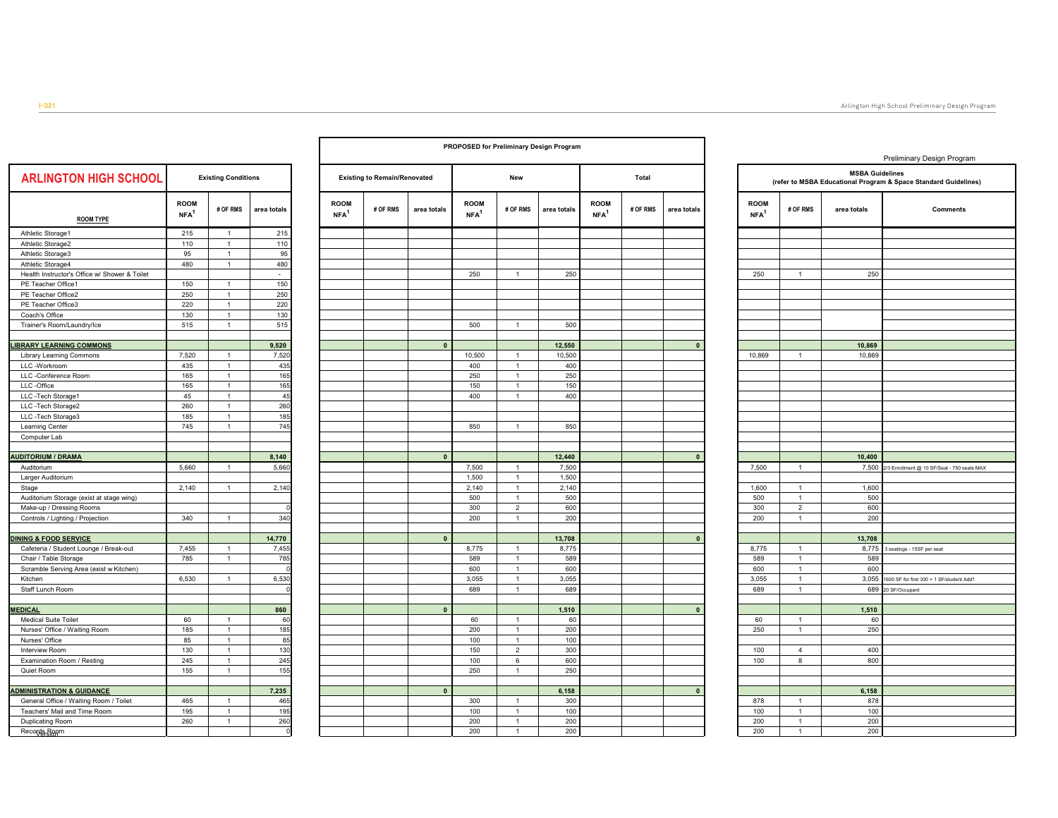| <b>ARLINGTON HIGH SCHOOL</b>                  |                                 | <b>Existing Conditions</b> |                |                                 | <b>Existing to Remain/Renovated</b> |              |                                   | New    |
|-----------------------------------------------|---------------------------------|----------------------------|----------------|---------------------------------|-------------------------------------|--------------|-----------------------------------|--------|
| <b>ROOM TYPE</b>                              | <b>ROOM</b><br>NFA <sup>1</sup> | # OF RMS                   | area totals    | <b>ROOM</b><br>NFA <sup>1</sup> | # OF RMS                            | area totals  | <b>ROOM</b><br>$NFA$ <sup>1</sup> | # OF R |
| Athletic Storage1                             | 215                             | $\mathbf{1}$               | 215            |                                 |                                     |              |                                   |        |
| Athletic Storage2                             | 110                             | $\mathbf{1}$               | 110            |                                 |                                     |              |                                   |        |
| Athletic Storage3                             | 95                              | $\mathbf{1}$               | 95             |                                 |                                     |              |                                   |        |
| Athletic Storage4                             | 480                             | $\mathbf{1}$               | 480            |                                 |                                     |              |                                   |        |
| Health Instructor's Office w/ Shower & Toilet |                                 |                            | $\overline{a}$ |                                 |                                     |              | 250                               |        |
| PE Teacher Office1                            | 150                             | $\mathbf{1}$               | 150            |                                 |                                     |              |                                   |        |
| PE Teacher Office2                            | 250                             | $\mathbf{1}$               | 250            |                                 |                                     |              |                                   |        |
| PE Teacher Office3                            | 220                             | $\mathbf 1$                | 220            |                                 |                                     |              |                                   |        |
| Coach's Office                                | 130                             | $\mathbf{1}$               | 130            |                                 |                                     |              |                                   |        |
| Trainer's Room/Laundry/Ice                    | 515                             | $\mathbf{1}$               | 515            |                                 |                                     |              | 500                               |        |
| <b>IBRARY LEARNING COMMONS</b>                |                                 |                            | 9,520          |                                 |                                     | $\pmb{0}$    |                                   |        |
| <b>Library Learning Commons</b>               | 7,520                           | $\mathbf{1}$               | 7,520          |                                 |                                     |              | 10,500                            |        |
| LLC -Workroom                                 | 435                             | $\mathbf{1}$               | 435            |                                 |                                     |              | 400                               |        |
| LLC -Conference Room                          | 165                             | $\mathbf 1$                | 165            |                                 |                                     |              | 250                               |        |
| LLC -Office                                   | 165                             | $\mathbf 1$                | 165            |                                 |                                     |              | 150                               |        |
| LLC -Tech Storage1                            | 45                              | $\mathbf 1$                | 45             |                                 |                                     |              | 400                               |        |
| LLC -Tech Storage2                            | 260                             | $\mathbf{1}$               | 260            |                                 |                                     |              |                                   |        |
| LLC -Tech Storage3                            | 185                             | $\mathbf{1}$               | 185            |                                 |                                     |              |                                   |        |
| Learning Center                               | 745                             | $\mathbf{1}$               | 745            |                                 |                                     |              | 850                               |        |
| Computer Lab                                  |                                 |                            |                |                                 |                                     |              |                                   |        |
| <b>AUDITORIUM / DRAMA</b>                     |                                 |                            | 8,140          |                                 |                                     | $\mathbf{0}$ |                                   |        |
| Auditorium                                    | 5,660                           | $\mathbf{1}$               | 5,660          |                                 |                                     |              | 7,500                             |        |
| Larger Auditorium                             |                                 |                            |                |                                 |                                     |              | 1,500                             |        |
| Stage                                         | 2,140                           | $\mathbf{1}$               | 2,140          |                                 |                                     |              | 2,140                             |        |
| Auditorium Storage (exist at stage wing)      |                                 |                            |                |                                 |                                     |              | 500                               |        |
| Make-up / Dressing Rooms                      |                                 |                            | $\mathbf 0$    |                                 |                                     |              | 300                               |        |
| Controls / Lighting / Projection              | 340                             | $\mathbf{1}$               | 340            |                                 |                                     |              | 200                               |        |
| <b>DINING &amp; FOOD SERVICE</b>              |                                 |                            | 14,770         |                                 |                                     | $\pmb{0}$    |                                   |        |
| Cafeteria / Student Lounge / Break-out        | 7,455                           | $\mathbf{1}$               | 7,455          |                                 |                                     |              | 8,775                             |        |
| Chair / Table Storage                         | 785                             | $\mathbf{1}$               | 785            |                                 |                                     |              | 589                               |        |
| Scramble Serving Area (exist w Kitchen)       |                                 |                            | $\Omega$       |                                 |                                     |              | 600                               |        |
| Kitchen                                       | 6,530                           | $\mathbf{1}$               | 6,530          |                                 |                                     |              | 3,055                             |        |
| Staff Lunch Room                              |                                 |                            | $\mathbf 0$    |                                 |                                     |              | 689                               |        |
| <b>MEDICAL</b>                                |                                 |                            | 860            |                                 |                                     | $\mathbf{0}$ |                                   |        |
| <b>Medical Suite Toilet</b>                   | 60                              | $\mathbf{1}$               | 60             |                                 |                                     |              | 60                                |        |
| Nurses' Office / Waiting Room                 | 185                             | $\mathbf{1}$               | 185            |                                 |                                     |              | 200                               |        |
| Nurses' Office                                | 85                              | $\mathbf{1}$               | 85             |                                 |                                     |              | 100                               |        |
| Interview Room                                | 130                             | $\mathbf{1}$               | 130            |                                 |                                     |              | 150                               |        |
| Examination Room / Resting                    | 245                             | $\mathbf{1}$               | 245            |                                 |                                     |              | 100                               |        |
| Quiet Room                                    | 155                             | $\mathbf{1}$               | 155            |                                 |                                     |              | 250                               |        |
| <b>ADMINISTRATION &amp; GUIDANCE</b>          |                                 |                            | 7,235          |                                 |                                     | $\pmb{0}$    |                                   |        |
| General Office / Waiting Room / Toilet        | 465                             | $\mathbf{1}$               | 465            |                                 |                                     |              | 300                               |        |
| Teachers' Mail and Time Room                  | 195                             | 1                          | 195            |                                 |                                     |              | 100                               |        |
| Duplicating Room                              | 260                             | $\mathbf{1}$               | 260            |                                 |                                     |              | 200                               |        |
| Records-Room                                  |                                 |                            | $\mathbf 0$    |                                 |                                     |              | 200                               |        |

| PROPOSED for Preliminary Design Program |                                     |             |                                   |                                        |              |                                 |          |             |  |  |  |  |  |
|-----------------------------------------|-------------------------------------|-------------|-----------------------------------|----------------------------------------|--------------|---------------------------------|----------|-------------|--|--|--|--|--|
|                                         | <b>Existing to Remain/Renovated</b> |             |                                   | New                                    |              | Total                           |          |             |  |  |  |  |  |
| <b>ROOM</b><br>$NFA$ <sup>1</sup>       | # OF RMS                            | area totals | <b>ROOM</b><br>$NFA$ <sup>1</sup> | # OF RMS                               | area totals  | <b>ROOM</b><br>NFA <sup>1</sup> | # OF RMS | area totals |  |  |  |  |  |
|                                         |                                     |             |                                   |                                        |              |                                 |          |             |  |  |  |  |  |
|                                         |                                     |             |                                   |                                        |              |                                 |          |             |  |  |  |  |  |
|                                         |                                     |             |                                   |                                        |              |                                 |          |             |  |  |  |  |  |
|                                         |                                     |             | 250                               | 1                                      | 250          |                                 |          |             |  |  |  |  |  |
|                                         |                                     |             |                                   |                                        |              |                                 |          |             |  |  |  |  |  |
|                                         |                                     |             |                                   |                                        |              |                                 |          |             |  |  |  |  |  |
|                                         |                                     |             |                                   |                                        |              |                                 |          |             |  |  |  |  |  |
|                                         |                                     |             | 500                               | $\mathbf{1}$                           | 500          |                                 |          |             |  |  |  |  |  |
|                                         |                                     |             |                                   |                                        |              |                                 |          |             |  |  |  |  |  |
|                                         |                                     | $\mathbf 0$ |                                   |                                        | 12,550       |                                 |          | $\mathbf 0$ |  |  |  |  |  |
|                                         |                                     |             | 10,500                            | 1                                      | 10,500       |                                 |          |             |  |  |  |  |  |
|                                         |                                     |             | 400<br>250                        | $\mathbf{1}$<br>$\mathbf{1}$           | 400<br>250   |                                 |          |             |  |  |  |  |  |
|                                         |                                     |             | 150                               | $\mathbf{1}$                           | 150          |                                 |          |             |  |  |  |  |  |
|                                         |                                     |             | 400                               | $\mathbf{1}$                           | 400          |                                 |          |             |  |  |  |  |  |
|                                         |                                     |             |                                   |                                        |              |                                 |          |             |  |  |  |  |  |
|                                         |                                     |             |                                   |                                        |              |                                 |          |             |  |  |  |  |  |
|                                         |                                     |             | 850                               | $\mathbf 1$                            | 850          |                                 |          |             |  |  |  |  |  |
|                                         |                                     |             |                                   |                                        |              |                                 |          |             |  |  |  |  |  |
|                                         |                                     | $\pmb{0}$   |                                   |                                        | 12,440       |                                 |          | $\mathbf 0$ |  |  |  |  |  |
|                                         |                                     |             | 7,500                             | $\mathbf{1}$                           | 7,500        |                                 |          |             |  |  |  |  |  |
|                                         |                                     |             | 1,500                             | $\mathbf{1}$                           | 1,500        |                                 |          |             |  |  |  |  |  |
|                                         |                                     |             | 2,140                             | $\mathbf 1$                            | 2,140        |                                 |          |             |  |  |  |  |  |
|                                         |                                     |             | 500                               | $\mathbf 1$                            | 500          |                                 |          |             |  |  |  |  |  |
|                                         |                                     |             | 300<br>200                        | $\overline{\mathbf{c}}$<br>$\mathbf 1$ | 600<br>200   |                                 |          |             |  |  |  |  |  |
|                                         |                                     |             |                                   |                                        |              |                                 |          |             |  |  |  |  |  |
|                                         |                                     | $\pmb{0}$   |                                   |                                        | 13,708       |                                 |          | $\pmb{0}$   |  |  |  |  |  |
|                                         |                                     |             | 8,775                             | 1                                      | 8,775        |                                 |          |             |  |  |  |  |  |
|                                         |                                     |             | 589                               | $\mathbf{1}$                           | 589          |                                 |          |             |  |  |  |  |  |
|                                         |                                     |             | 600<br>3,055                      | $\mathbf{1}$<br>$\mathbf{1}$           | 600<br>3,055 |                                 |          |             |  |  |  |  |  |
|                                         |                                     |             | 689                               | $\mathbf{1}$                           | 689          |                                 |          |             |  |  |  |  |  |
|                                         |                                     |             |                                   |                                        |              |                                 |          |             |  |  |  |  |  |
|                                         |                                     | $\pmb{0}$   |                                   |                                        | 1,510        |                                 |          | $\mathbf 0$ |  |  |  |  |  |
|                                         |                                     |             | 60                                | $\mathbf{1}$                           | 60           |                                 |          |             |  |  |  |  |  |
|                                         |                                     |             | 200                               | $\mathbf 1$                            | 200          |                                 |          |             |  |  |  |  |  |
|                                         |                                     |             | 100<br>150                        | 1<br>$\overline{\mathbf{c}}$           | 100<br>300   |                                 |          |             |  |  |  |  |  |
|                                         |                                     |             | 100                               | 6                                      | 600          |                                 |          |             |  |  |  |  |  |
|                                         |                                     |             | 250                               | $\mathbf{1}$                           | 250          |                                 |          |             |  |  |  |  |  |
|                                         |                                     |             |                                   |                                        |              |                                 |          |             |  |  |  |  |  |
|                                         |                                     | $\mathbf 0$ |                                   |                                        | 6,158        |                                 |          | $\mathbf 0$ |  |  |  |  |  |
|                                         |                                     |             | 300                               | 1<br>$\mathbf{1}$                      | 300          |                                 |          |             |  |  |  |  |  |
|                                         |                                     |             | 100<br>200                        | 1                                      | 100<br>200   |                                 |          |             |  |  |  |  |  |
|                                         |                                     |             | 200                               | $\mathbf{1}$                           | 200          |                                 |          |             |  |  |  |  |  |
|                                         |                                     |             |                                   |                                        |              |                                 |          |             |  |  |  |  |  |

|                                   |                              |                        | Preliminary Design Program                                      |  |  |  |  |  |  |  |
|-----------------------------------|------------------------------|------------------------|-----------------------------------------------------------------|--|--|--|--|--|--|--|
|                                   |                              | <b>MSBA Guidelines</b> | (refer to MSBA Educational Program & Space Standard Guidelines) |  |  |  |  |  |  |  |
| <b>ROOM</b><br>$NFA$ <sup>1</sup> | # OF RMS                     | area totals            | <b>Comments</b>                                                 |  |  |  |  |  |  |  |
|                                   |                              |                        |                                                                 |  |  |  |  |  |  |  |
|                                   |                              |                        |                                                                 |  |  |  |  |  |  |  |
| 250                               | 1                            | 250                    |                                                                 |  |  |  |  |  |  |  |
|                                   |                              |                        |                                                                 |  |  |  |  |  |  |  |
|                                   |                              |                        |                                                                 |  |  |  |  |  |  |  |
|                                   |                              |                        |                                                                 |  |  |  |  |  |  |  |
|                                   |                              |                        |                                                                 |  |  |  |  |  |  |  |
| 10,869                            | 1                            | 10,869<br>10,869       |                                                                 |  |  |  |  |  |  |  |
|                                   |                              |                        |                                                                 |  |  |  |  |  |  |  |
|                                   |                              |                        |                                                                 |  |  |  |  |  |  |  |
|                                   |                              |                        |                                                                 |  |  |  |  |  |  |  |
|                                   |                              |                        |                                                                 |  |  |  |  |  |  |  |
|                                   |                              |                        |                                                                 |  |  |  |  |  |  |  |
|                                   |                              |                        |                                                                 |  |  |  |  |  |  |  |
|                                   |                              | 10,400                 |                                                                 |  |  |  |  |  |  |  |
| 7,500                             | 1                            | 7,500                  | 2/3 Enrollment @ 10 SF/Seat - 750 seats MAX                     |  |  |  |  |  |  |  |
| 1,600                             | 1                            | 1,600                  |                                                                 |  |  |  |  |  |  |  |
| 500                               | 1                            | 500                    |                                                                 |  |  |  |  |  |  |  |
| 300<br>200                        | $\overline{\mathbf{c}}$<br>1 | 600<br>200             |                                                                 |  |  |  |  |  |  |  |
|                                   |                              |                        |                                                                 |  |  |  |  |  |  |  |
|                                   |                              | 13,708                 |                                                                 |  |  |  |  |  |  |  |
| 8,775<br>589                      | 1<br>1                       | 8,775<br>589           | 3 seatings - 15SF per seat                                      |  |  |  |  |  |  |  |
| 600                               | 1                            | 600                    |                                                                 |  |  |  |  |  |  |  |
| 3,055                             | 1                            | 3,055                  | 1600 SF for first 300 + 1 SF/student Add'l                      |  |  |  |  |  |  |  |
| 689                               | 1                            | 689                    | 20 SF/Occupant                                                  |  |  |  |  |  |  |  |
|                                   |                              | 1,510                  |                                                                 |  |  |  |  |  |  |  |
| 60<br>250                         | 1<br>1                       | 60<br>250              |                                                                 |  |  |  |  |  |  |  |
|                                   |                              |                        |                                                                 |  |  |  |  |  |  |  |
| 100                               | 4                            | 400                    |                                                                 |  |  |  |  |  |  |  |
| 100                               | 8                            | 800                    |                                                                 |  |  |  |  |  |  |  |
|                                   |                              |                        |                                                                 |  |  |  |  |  |  |  |
| 878                               | 1                            | 6,158<br>878           |                                                                 |  |  |  |  |  |  |  |
| 100                               | 1                            | 100                    |                                                                 |  |  |  |  |  |  |  |
| 200                               | 1                            | 200                    |                                                                 |  |  |  |  |  |  |  |
| 200                               | 1                            | 200                    |                                                                 |  |  |  |  |  |  |  |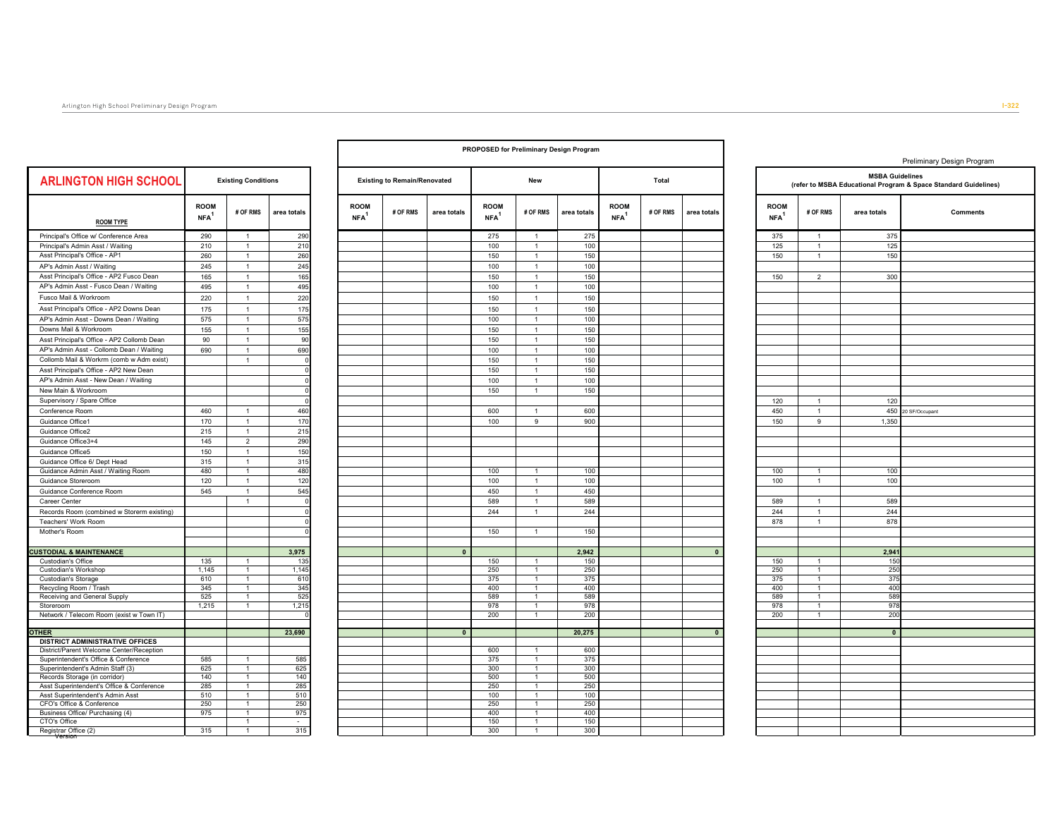|                                                       |                                   |                              |                       |                                 | <b>PROPOSED for Preliminary Design Program</b> |              |                                 |                                |             |                                   |          |             |  |
|-------------------------------------------------------|-----------------------------------|------------------------------|-----------------------|---------------------------------|------------------------------------------------|--------------|---------------------------------|--------------------------------|-------------|-----------------------------------|----------|-------------|--|
| <b>ARLINGTON HIGH SCHOOL</b>                          |                                   | <b>Existing Conditions</b>   |                       |                                 | <b>Existing to Remain/Renovated</b>            |              |                                 |                                |             | Total                             |          |             |  |
| <b>ROOM TYPE</b>                                      | <b>ROOM</b><br>$NFA$ <sup>1</sup> | # OF RMS                     | area totals           | <b>ROOM</b><br>NFA <sup>1</sup> | # OF RMS                                       | area totals  | <b>ROOM</b><br>NFA <sup>1</sup> | # OF RMS                       | area totals | <b>ROOM</b><br>$NFA$ <sup>1</sup> | # OF RMS | area totals |  |
| Principal's Office w/ Conference Area                 | 290                               | $\mathbf{1}$                 | 290                   |                                 |                                                |              | 275                             | $\mathbf{1}$                   | 275         |                                   |          |             |  |
| Principal's Admin Asst / Waiting                      | 210                               | $\mathbf{1}$                 | 210                   |                                 |                                                |              | 100                             | $\mathbf{1}$                   | 100         |                                   |          |             |  |
| Asst Principal's Office - AP1                         | 260                               | $\mathbf{1}$                 | 260                   |                                 |                                                |              | 150                             | $\mathbf{1}$                   | 150         |                                   |          |             |  |
| AP's Admin Asst / Waiting                             | 245                               | $\overline{1}$               | 245                   |                                 |                                                |              | 100                             | $\overline{1}$                 | 100         |                                   |          |             |  |
| Asst Principal's Office - AP2 Fusco Dean              | 165                               | $\mathbf{1}$                 | 165                   |                                 |                                                |              | 150                             | $\mathbf{1}$                   | 150         |                                   |          |             |  |
| AP's Admin Asst - Fusco Dean / Waiting                | 495                               | $\mathbf{1}$                 | 495                   |                                 |                                                |              | 100                             | $\mathbf{1}$                   | 100         |                                   |          |             |  |
| Fusco Mail & Workroom                                 | 220                               | 1                            | 220                   |                                 |                                                |              | 150                             | $\mathbf{1}$                   | 150         |                                   |          |             |  |
| Asst Principal's Office - AP2 Downs Dean              | 175                               | $\mathbf{1}$                 | 175                   |                                 |                                                |              | 150                             | $\mathbf{1}$                   | 150         |                                   |          |             |  |
| AP's Admin Asst - Downs Dean / Waiting                | 575                               | $\overline{1}$               | 575                   |                                 |                                                |              | 100                             | $\mathbf{1}$                   | 100         |                                   |          |             |  |
| Downs Mail & Workroom                                 | 155                               | $\mathbf{1}$                 | 155                   |                                 |                                                |              | 150                             | $\mathbf{1}$                   | 150         |                                   |          |             |  |
| Asst Principal's Office - AP2 Collomb Dean            | 90                                | $\mathbf{1}$                 | 90                    |                                 |                                                |              | 150                             | $\overline{1}$                 | 150         |                                   |          |             |  |
| AP's Admin Asst - Collomb Dean / Waiting              | 690                               | $\overline{1}$               | 690                   |                                 |                                                |              | 100                             | $\mathbf{1}$                   | 100         |                                   |          |             |  |
| Collomb Mail & Workrm (comb w Adm exist)              |                                   |                              | $\mathsf{C}$          |                                 |                                                |              |                                 |                                |             |                                   |          |             |  |
| Asst Principal's Office - AP2 New Dean                |                                   | $\mathbf{1}$                 | $\Omega$              |                                 |                                                |              | 150                             | $\mathbf{1}$                   | 150         |                                   |          |             |  |
|                                                       |                                   |                              | $\mathbf{r}$          |                                 |                                                |              | 150                             | $\mathbf{1}$<br>$\overline{1}$ | 150         |                                   |          |             |  |
| AP's Admin Asst - New Dean / Waiting                  |                                   |                              | $\Omega$              |                                 |                                                |              | 100                             |                                | 100         |                                   |          |             |  |
| New Main & Workroom                                   |                                   |                              | $\mathbf{r}$          |                                 |                                                |              | 150                             | $\mathbf{1}$                   | 150         |                                   |          |             |  |
| Supervisory / Spare Office                            |                                   |                              |                       |                                 |                                                |              |                                 |                                |             |                                   |          |             |  |
| Conference Room                                       | 460                               | $\mathbf{1}$                 | 460                   |                                 |                                                |              | 600                             | $\overline{1}$                 | 600         |                                   |          |             |  |
| Guidance Office1                                      | 170                               | $\mathbf{1}$                 | 170                   |                                 |                                                |              | 100                             | 9                              | 900         |                                   |          |             |  |
| Guidance Office2                                      | 215                               | $\overline{1}$               | 215                   |                                 |                                                |              |                                 |                                |             |                                   |          |             |  |
| Guidance Office3+4                                    | 145                               | $\overline{2}$               | 290                   |                                 |                                                |              |                                 |                                |             |                                   |          |             |  |
| Guidance Office5                                      | 150                               | $\overline{1}$               | 150                   |                                 |                                                |              |                                 |                                |             |                                   |          |             |  |
| Guidance Office 6/ Dept Head                          | 315                               | $\mathbf{1}$                 | 315                   |                                 |                                                |              |                                 |                                |             |                                   |          |             |  |
| Guidance Admin Asst / Waiting Room                    | 480                               | 1                            | 480                   |                                 |                                                |              | 100                             | $\mathbf{1}$                   | 100         |                                   |          |             |  |
| Guidance Storeroom                                    | 120                               | $\overline{1}$               | 120                   |                                 |                                                |              | 100                             | $\mathbf{1}$                   | 100         |                                   |          |             |  |
| Guidance Conference Room                              | 545                               | $\overline{1}$               | 545                   |                                 |                                                |              | 450                             | $\mathbf{1}$                   | 450         |                                   |          |             |  |
| Career Center                                         |                                   | $\overline{1}$               | $\mathsf{C}$          |                                 |                                                |              | 589                             | $\mathbf{1}$                   | 589         |                                   |          |             |  |
| Records Room (combined w Storerm existing)            |                                   |                              |                       |                                 |                                                |              | 244                             | $\mathbf{1}$                   | 244         |                                   |          |             |  |
| Teachers' Work Room                                   |                                   |                              |                       |                                 |                                                |              |                                 |                                |             |                                   |          |             |  |
| Mother's Room                                         |                                   |                              |                       |                                 |                                                |              | 150                             | $\mathbf{1}$                   | 150         |                                   |          |             |  |
| <b>CUSTODIAL &amp; MAINTENANCE</b>                    |                                   |                              | 3,975                 |                                 |                                                | $\mathbf{0}$ |                                 |                                | 2,942       |                                   |          | n           |  |
| Custodian's Office                                    | 135                               | $\mathbf{1}$                 | 135                   |                                 |                                                |              | 150                             | $\mathbf{1}$                   | 150         |                                   |          |             |  |
| Custodian's Workshop                                  | 1,145                             | $\mathbf{1}$                 | 1,145                 |                                 |                                                |              | 250                             | $\mathbf{1}$                   | 250         |                                   |          |             |  |
| Custodian's Storage                                   | 610                               | $\mathbf{1}$                 | 610                   |                                 |                                                |              | 375                             | $\overline{1}$                 | 375         |                                   |          |             |  |
| Recycling Room / Trash                                | 345                               | $\mathbf{1}$                 | 345                   |                                 |                                                |              | 400                             | $\mathbf{1}$                   | 400         |                                   |          |             |  |
| Receiving and General Supply                          | 525                               | $\mathbf{1}$                 | 525                   |                                 |                                                |              | 589                             | $\mathbf{1}$                   | 589         |                                   |          |             |  |
| Storeroom<br>Network / Telecom Room (exist w Town IT) | 1,215                             | $\mathbf{1}$                 | 1,215<br>r            |                                 |                                                |              | 978<br>200                      | 1<br>$\mathbf{1}$              | 978<br>200  |                                   |          |             |  |
|                                                       |                                   |                              |                       |                                 |                                                |              |                                 |                                |             |                                   |          |             |  |
| OTHER                                                 |                                   |                              | 23,690                |                                 |                                                | $\pmb{0}$    |                                 |                                | 20,275      |                                   |          | $\bf{0}$    |  |
| <b>DISTRICT ADMINISTRATIVE OFFICES</b>                |                                   |                              |                       |                                 |                                                |              |                                 |                                |             |                                   |          |             |  |
| District/Parent Welcome Center/Reception              |                                   |                              |                       |                                 |                                                |              | 600                             | $\mathbf{1}$                   | 600         |                                   |          |             |  |
| Superintendent's Office & Conference                  | 585                               | $\mathbf{1}$                 | 585                   |                                 |                                                |              | 375                             | $\overline{1}$                 | 375         |                                   |          |             |  |
| Superintendent's Admin Staff (3)                      | 625                               | 1                            | 625                   |                                 |                                                |              | 300                             | $\mathbf{1}$                   | 300         |                                   |          |             |  |
| Records Storage (in corridor)                         | 140                               | 1                            | 140                   |                                 |                                                |              | 500                             | $\mathbf{1}$                   | 500         |                                   |          |             |  |
| Asst Superintendent's Office & Conference             | 285                               | $\mathbf{1}$                 | 285                   |                                 |                                                |              | 250                             | $\mathbf{1}$                   | 250         |                                   |          |             |  |
| Asst Superintendent's Admin Asst                      | 510                               | $\mathbf{1}$                 | 510                   |                                 |                                                |              | 100                             | $\mathbf{1}$                   | 100         |                                   |          |             |  |
| CFO's Office & Conference                             | 250                               | $\mathbf{1}$                 | 250                   |                                 |                                                |              | 250                             | $\mathbf{1}$                   | 250         |                                   |          |             |  |
|                                                       |                                   |                              |                       |                                 |                                                |              |                                 |                                |             |                                   |          |             |  |
| Business Office/ Purchasing (4)<br>CTO's Office       | 975                               | $\mathbf{1}$<br>$\mathbf{1}$ | 975<br>$\overline{a}$ |                                 |                                                |              | 400<br>150                      | $\mathbf{1}$<br>$\mathbf{1}$   | 400<br>150  |                                   |          |             |  |

**T** 

٦

|                        |                         |                        | Preliminary Design Program                                      |
|------------------------|-------------------------|------------------------|-----------------------------------------------------------------|
|                        |                         | <b>MSBA Guidelines</b> | (refer to MSBA Educational Program & Space Standard Guidelines) |
| <b>ROOM</b><br>$NFA^1$ | # OF RMS                | area totals            | <b>Comments</b>                                                 |
| 375                    | 1                       | 375                    |                                                                 |
| 125                    | $\mathbf{1}$            | 125                    |                                                                 |
| 150                    | 1                       | 150                    |                                                                 |
|                        |                         |                        |                                                                 |
| 150                    | $\overline{\mathbf{c}}$ | 300                    |                                                                 |
|                        |                         |                        |                                                                 |
|                        |                         |                        |                                                                 |
|                        |                         |                        |                                                                 |
|                        |                         |                        |                                                                 |
|                        |                         |                        |                                                                 |
|                        |                         |                        |                                                                 |
|                        |                         |                        |                                                                 |
|                        |                         |                        |                                                                 |
|                        |                         |                        |                                                                 |
|                        |                         |                        |                                                                 |
|                        |                         |                        |                                                                 |
| 120                    | 1                       | 120                    |                                                                 |
| 450                    | $\mathbf{1}$            | 450                    | 20 SF/Occupant                                                  |
| 150                    | 9                       | 1,350                  |                                                                 |
|                        |                         |                        |                                                                 |
|                        |                         |                        |                                                                 |
|                        |                         |                        |                                                                 |
|                        |                         |                        |                                                                 |
| 100                    | 1                       | 100                    |                                                                 |
| 100                    | $\mathbf{1}$            | 100                    |                                                                 |
|                        |                         |                        |                                                                 |
| 589                    | 1                       | 589                    |                                                                 |
| 244                    | 1                       | 244                    |                                                                 |
| 878                    | 1                       | 878                    |                                                                 |
|                        |                         |                        |                                                                 |
|                        |                         |                        |                                                                 |
|                        |                         | 2,941                  |                                                                 |
| 150                    | 1                       | 150                    |                                                                 |
| 250                    | 1<br>1                  | 250<br>375             |                                                                 |
| 375<br>400             | 1                       | 400                    |                                                                 |
| 589                    | 1                       | 589                    |                                                                 |
| 978                    | 1                       | 978                    |                                                                 |
| 200                    | 1                       | 200                    |                                                                 |
|                        |                         |                        |                                                                 |
|                        |                         | $\pmb{0}$              |                                                                 |
|                        |                         |                        |                                                                 |
|                        |                         |                        |                                                                 |
|                        |                         |                        |                                                                 |
|                        |                         |                        |                                                                 |
|                        |                         |                        |                                                                 |
|                        |                         |                        |                                                                 |
|                        |                         |                        |                                                                 |
|                        |                         |                        |                                                                 |
|                        |                         |                        |                                                                 |
|                        |                         |                        |                                                                 |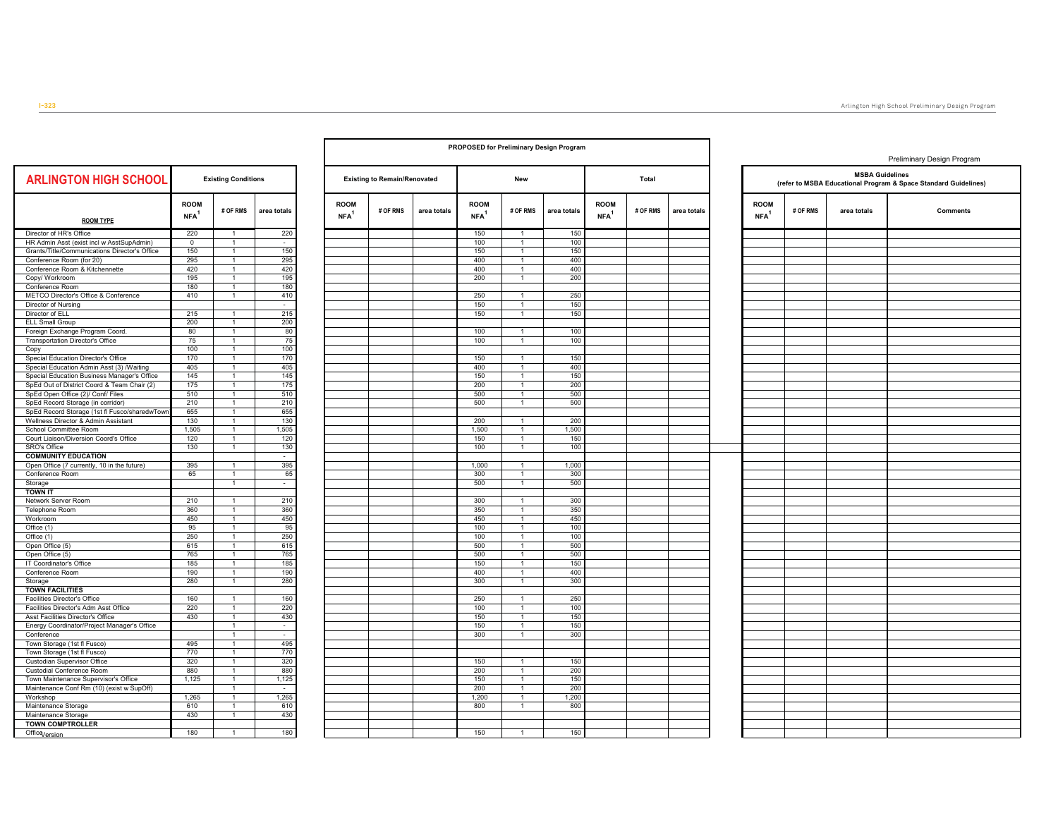|                                                                                  |                                 |                                  |               |                                 |                                     |             |                                   | <b>PROPOSED for Preliminary Design Program</b> |              |                                 |          |                                                                                           |                                 |          |             | Preliminary Design Program |  |
|----------------------------------------------------------------------------------|---------------------------------|----------------------------------|---------------|---------------------------------|-------------------------------------|-------------|-----------------------------------|------------------------------------------------|--------------|---------------------------------|----------|-------------------------------------------------------------------------------------------|---------------------------------|----------|-------------|----------------------------|--|
| <b>ARLINGTON HIGH SCHOOL</b>                                                     | <b>Existing Conditions</b>      |                                  |               |                                 | <b>Existing to Remain/Renovated</b> | New         |                                   |                                                | <b>Total</b> |                                 |          | <b>MSBA Guidelines</b><br>(refer to MSBA Educational Program & Space Standard Guidelines) |                                 |          |             |                            |  |
| <b>ROOM TYPE</b>                                                                 | <b>ROOM</b><br>NFA <sup>1</sup> | # OF RMS                         | area totals   | <b>ROOM</b><br>NFA <sup>1</sup> | # OF RMS                            | area totals | <b>ROOM</b><br>$NFA$ <sup>1</sup> | # OF RMS                                       | area totals  | <b>ROOM</b><br>NFA <sup>1</sup> | # OF RMS | area totals                                                                               | <b>ROOM</b><br>NFA <sup>1</sup> | # OF RMS | area totals | <b>Comments</b>            |  |
| Director of HR's Office                                                          | 220                             | -1                               | 220           |                                 |                                     |             | 150                               | $\mathbf{1}$                                   | 150          |                                 |          |                                                                                           |                                 |          |             |                            |  |
| HR Admin Asst (exist incl w AsstSupAdmin)                                        | $\overline{0}$                  | $\overline{1}$                   | $\sim$        |                                 |                                     |             | 100                               | $\overline{1}$                                 | 100          |                                 |          |                                                                                           |                                 |          |             |                            |  |
| Grants/Title/Communications Director's Office                                    | 150                             | $\overline{1}$                   | 150           |                                 |                                     |             | 150                               | $\mathbf{1}$                                   | 150          |                                 |          |                                                                                           |                                 |          |             |                            |  |
| Conference Room (for 20)<br>Conference Room & Kitchennette                       | 295<br>420                      | $\overline{1}$<br>$\overline{1}$ | 295<br>420    |                                 |                                     |             | 400<br>400                        | $\overline{1}$<br>$\mathbf{1}$                 | 400<br>400   |                                 |          |                                                                                           |                                 |          |             |                            |  |
| Copy/ Workroom                                                                   | 195                             | $\mathbf{1}$                     | 195           |                                 |                                     |             | 200                               | $\overline{1}$                                 | 200          |                                 |          |                                                                                           |                                 |          |             |                            |  |
| Conference Room                                                                  | 180                             | $\mathbf{1}$                     | 180           |                                 |                                     |             |                                   |                                                |              |                                 |          |                                                                                           |                                 |          |             |                            |  |
| METCO Director's Office & Conference                                             | 410                             | $\overline{1}$                   | 410           |                                 |                                     |             | 250                               | $\overline{1}$                                 | 250          |                                 |          |                                                                                           |                                 |          |             |                            |  |
| Director of Nursing                                                              |                                 |                                  | $\sim$        |                                 |                                     |             | 150                               | $\overline{1}$                                 | 150          |                                 |          |                                                                                           |                                 |          |             |                            |  |
| Director of ELL                                                                  | 215                             | $\mathbf{1}$                     | 215           |                                 |                                     |             | 150                               | $\overline{1}$                                 | 150          |                                 |          |                                                                                           |                                 |          |             |                            |  |
| <b>ELL Small Group</b>                                                           | 200                             | $\mathbf{1}$                     | 200           |                                 |                                     |             |                                   |                                                |              |                                 |          |                                                                                           |                                 |          |             |                            |  |
| Foreign Exchange Program Coord.                                                  | 80                              | $\overline{1}$                   | 80            |                                 |                                     |             | 100                               | $\mathbf{1}$                                   | 100          |                                 |          |                                                                                           |                                 |          |             |                            |  |
| Transportation Director's Office                                                 | 75                              | $\overline{1}$                   | 75            |                                 |                                     |             | 100                               |                                                | 100          |                                 |          |                                                                                           |                                 |          |             |                            |  |
| Copy                                                                             | 100                             | $\overline{1}$                   | 100<br>170    |                                 |                                     |             |                                   | $\overline{1}$                                 |              |                                 |          |                                                                                           |                                 |          |             |                            |  |
| Special Education Director's Office<br>Special Education Admin Asst (3) /Waiting | 170<br>405                      | $\overline{1}$<br>$\overline{1}$ | 405           |                                 |                                     |             | 150<br>400                        |                                                | 150<br>400   |                                 |          |                                                                                           |                                 |          |             |                            |  |
| Special Education Business Manager's Office                                      | 145                             | $\overline{1}$                   | 145           |                                 |                                     |             | 150                               | $\overline{1}$                                 | 150          |                                 |          |                                                                                           |                                 |          |             |                            |  |
| SpEd Out of District Coord & Team Chair (2)                                      | 175                             | $\overline{1}$                   | 175           |                                 |                                     |             | 200                               |                                                | 200          |                                 |          |                                                                                           |                                 |          |             |                            |  |
| SpEd Open Office (2)/ Conf/ Files                                                | 510                             | $\mathbf{1}$                     | 510           |                                 |                                     |             | 500                               | $\mathbf{1}$                                   | 500          |                                 |          |                                                                                           |                                 |          |             |                            |  |
| SpEd Record Storage (in corridor)                                                | 210                             | $\overline{1}$                   | 210           |                                 |                                     |             | 500                               | $\overline{1}$                                 | 500          |                                 |          |                                                                                           |                                 |          |             |                            |  |
| SpEd Record Storage (1st fl Fusco/sharedwTowr                                    | 655                             | $\overline{1}$                   | 655           |                                 |                                     |             |                                   |                                                |              |                                 |          |                                                                                           |                                 |          |             |                            |  |
| Wellness Director & Admin Assistant                                              | 130                             |                                  | 130           |                                 |                                     |             | 200                               |                                                | 200          |                                 |          |                                                                                           |                                 |          |             |                            |  |
| School Committee Room                                                            | 1,505                           | $\overline{1}$                   | 1,505         |                                 |                                     |             | 1,500                             | $\mathbf{1}$                                   | 1,500        |                                 |          |                                                                                           |                                 |          |             |                            |  |
| Court Liaison/Diversion Coord's Office                                           | 120                             | $\mathbf{1}$                     | 120           |                                 |                                     |             | 150                               | $\overline{1}$                                 | 150          |                                 |          |                                                                                           |                                 |          |             |                            |  |
| SRO's Office                                                                     | 130                             | $\mathbf{1}$                     | 130           |                                 |                                     |             | 100                               |                                                | 100          |                                 |          |                                                                                           |                                 |          |             |                            |  |
| <b>COMMUNITY EDUCATION</b>                                                       |                                 | $\overline{1}$                   | $\sim$<br>395 |                                 |                                     |             | 1,000                             | $\mathbf{1}$                                   | 1,000        |                                 |          |                                                                                           |                                 |          |             |                            |  |
| Open Office (7 currently, 10 in the future)<br>Conference Room                   | 395<br>65                       | $\mathbf{1}$                     | 65            |                                 |                                     |             | 300                               | $\overline{1}$                                 | 300          |                                 |          |                                                                                           |                                 |          |             |                            |  |
| Storage                                                                          |                                 | $\overline{1}$                   | $\sim$        |                                 |                                     |             | 500                               | $\mathbf{1}$                                   | 500          |                                 |          |                                                                                           |                                 |          |             |                            |  |
| <b>TOWN IT</b>                                                                   |                                 |                                  |               |                                 |                                     |             |                                   |                                                |              |                                 |          |                                                                                           |                                 |          |             |                            |  |
| Network Server Room                                                              | 210                             | $\mathbf{1}$                     | 210           |                                 |                                     |             | 300                               | $\overline{1}$                                 | 300          |                                 |          |                                                                                           |                                 |          |             |                            |  |
| Telephone Room                                                                   | 360                             | $\mathbf{1}$                     | 360           |                                 |                                     |             | 350                               | $\mathbf{1}$                                   | 350          |                                 |          |                                                                                           |                                 |          |             |                            |  |
| Workroom                                                                         | 450                             | $\overline{1}$                   | 450           |                                 |                                     |             | 450                               | $\overline{1}$                                 | 450          |                                 |          |                                                                                           |                                 |          |             |                            |  |
| Office (1)                                                                       | 95                              | $\mathbf{1}$                     | 95            |                                 |                                     |             | 100                               | $\mathbf{1}$                                   | 100          |                                 |          |                                                                                           |                                 |          |             |                            |  |
| Office (1)                                                                       | 250                             | $\overline{1}$                   | 250           |                                 |                                     |             | 100                               | $\overline{1}$                                 | 100          |                                 |          |                                                                                           |                                 |          |             |                            |  |
| Open Office (5)                                                                  | 615<br>765                      | $\overline{1}$<br>$\overline{1}$ | 615           |                                 |                                     |             | 500<br>500                        | $\overline{1}$<br>$\overline{1}$               | 500<br>500   |                                 |          |                                                                                           |                                 |          |             |                            |  |
| Open Office (5)<br>IT Coordinator's Office                                       | 185                             | $\overline{1}$                   | 765<br>185    |                                 |                                     |             | 150                               |                                                | 150          |                                 |          |                                                                                           |                                 |          |             |                            |  |
| Conference Room                                                                  | 190                             |                                  | 190           |                                 |                                     |             | 400                               |                                                | 400          |                                 |          |                                                                                           |                                 |          |             |                            |  |
| Storage                                                                          | 280                             | $\overline{1}$                   | 280           |                                 |                                     |             | 300                               | $\overline{1}$                                 | 300          |                                 |          |                                                                                           |                                 |          |             |                            |  |
| <b>TOWN FACILITIES</b>                                                           |                                 |                                  |               |                                 |                                     |             |                                   |                                                |              |                                 |          |                                                                                           |                                 |          |             |                            |  |
| Facilities Director's Office                                                     | 160                             | $\overline{1}$                   | 160           |                                 |                                     |             | 250                               | $\overline{1}$                                 | 250          |                                 |          |                                                                                           |                                 |          |             |                            |  |
| Facilities Director's Adm Asst Office                                            | 220                             | $\overline{1}$                   | 220           |                                 |                                     |             | 100                               |                                                | 100          |                                 |          |                                                                                           |                                 |          |             |                            |  |
| Asst Facilities Director's Office                                                | 430                             | $\overline{1}$                   | 430           |                                 |                                     |             | 150                               | $\overline{1}$                                 | 150          |                                 |          |                                                                                           |                                 |          |             |                            |  |
| Energy Coordinator/Project Manager's Office                                      |                                 | $\mathbf{1}$                     | $\sim$        |                                 |                                     |             | 150                               | $\overline{1}$                                 | 150          |                                 |          |                                                                                           |                                 |          |             |                            |  |
| Conference                                                                       |                                 | $\overline{1}$                   | $\sim$        |                                 |                                     |             | 300                               |                                                | 300          |                                 |          |                                                                                           |                                 |          |             |                            |  |
| Town Storage (1st fl Fusco)<br>Town Storage (1st fl Fusco)                       | 495<br>770                      | $\overline{1}$<br>$\overline{1}$ | 495<br>770    |                                 |                                     |             |                                   |                                                |              |                                 |          |                                                                                           |                                 |          |             |                            |  |
| Custodian Supervisor Office                                                      | 320                             | $\overline{1}$                   | 320           |                                 |                                     |             | 150                               | $\overline{1}$                                 | 150          |                                 |          |                                                                                           |                                 |          |             |                            |  |
| Custodial Conference Room                                                        | 880                             | $\overline{1}$                   | 880           |                                 |                                     |             | 200                               | $\mathbf{1}$                                   | 200          |                                 |          |                                                                                           |                                 |          |             |                            |  |
| Town Maintenance Supervisor's Office                                             | 1,125                           | $\overline{1}$                   | 1,125         |                                 |                                     |             | 150                               | $\mathbf{1}$                                   | 150          |                                 |          |                                                                                           |                                 |          |             |                            |  |
| Maintenance Conf Rm (10) (exist w SupOff)                                        |                                 | $\overline{1}$                   | $\sim$        |                                 |                                     |             | 200                               | $\mathbf{1}$                                   | 200          |                                 |          |                                                                                           |                                 |          |             |                            |  |
| Workshop                                                                         | 1,265                           | $\overline{1}$                   | 1,265         |                                 |                                     |             | 1,200                             | $\overline{1}$                                 | 1,200        |                                 |          |                                                                                           |                                 |          |             |                            |  |
| Maintenance Storage                                                              | 610                             | $\mathbf{1}$                     | 610           |                                 |                                     |             | 800                               | $\mathbf{1}$                                   | 800          |                                 |          |                                                                                           |                                 |          |             |                            |  |
| Maintenance Storage                                                              | 430                             | $\mathbf{1}$                     | 430           |                                 |                                     |             |                                   |                                                |              |                                 |          |                                                                                           |                                 |          |             |                            |  |
| <b>TOWN COMPTROLLER</b>                                                          |                                 |                                  |               |                                 |                                     |             |                                   |                                                |              |                                 |          |                                                                                           |                                 |          |             |                            |  |
| Office <sub>Version</sub>                                                        | 180                             | $\mathbf{1}$                     | 180           |                                 |                                     |             | 150                               | $\overline{1}$                                 | 150          |                                 |          |                                                                                           |                                 |          |             |                            |  |
|                                                                                  |                                 |                                  |               |                                 |                                     |             |                                   |                                                |              |                                 |          |                                                                                           |                                 |          |             |                            |  |

Г